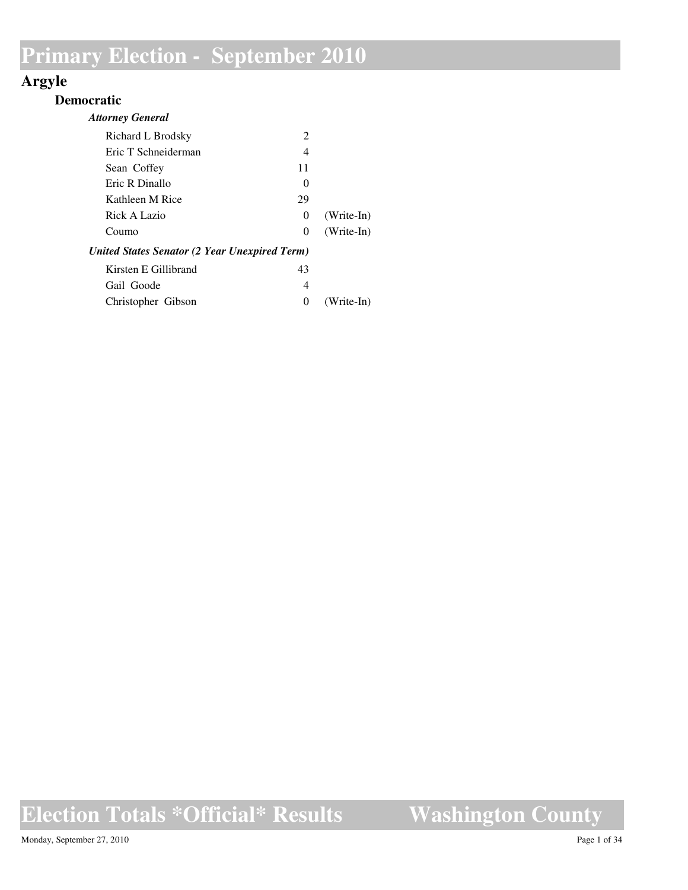## **Argyle**

#### **Democratic**

| <b>Attorney General</b>                       |                             |              |
|-----------------------------------------------|-----------------------------|--------------|
| Richard L Brodsky                             | $\mathcal{D}_{\mathcal{L}}$ |              |
| Eric T Schneiderman                           | 4                           |              |
| Sean Coffey                                   | 11                          |              |
| Eric R Dinallo                                | $\theta$                    |              |
| Kathleen M Rice                               | 29                          |              |
| Rick A Lazio                                  | 0                           | $(Write-In)$ |
| Coumo                                         | 0                           | $(Write-In)$ |
| United States Senator (2 Year Unexpired Term) |                             |              |
| Kirsten E Gillibrand                          | 43                          |              |
| Gail Goode                                    | 4                           |              |
| Christopher Gibson                            | 0                           | $(Write-In)$ |

## **Election Totals \*Official\* Results**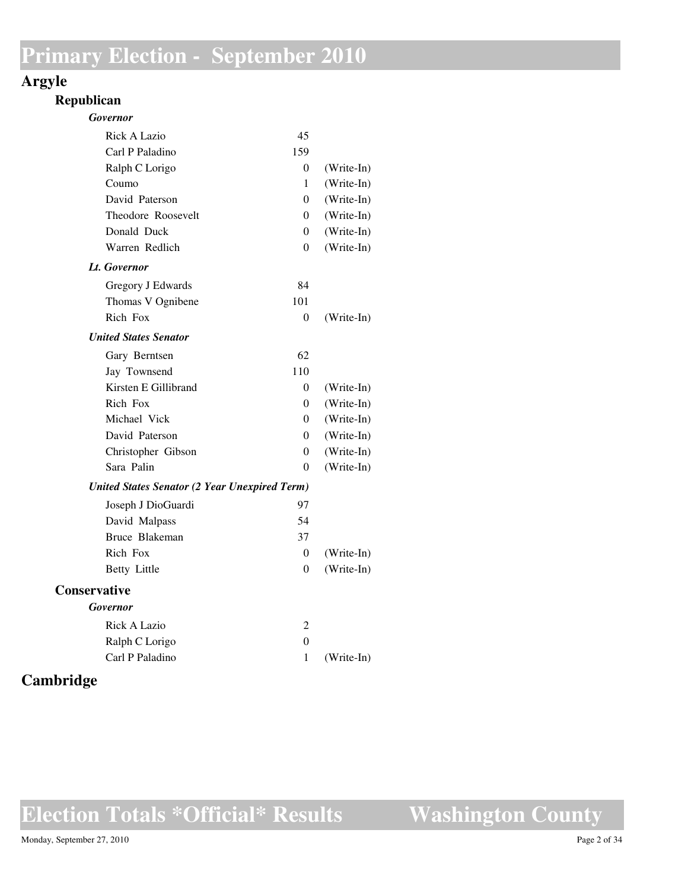## **Argyle**

### **Republican**

| <b>Governor</b>                                      |                  |            |
|------------------------------------------------------|------------------|------------|
| <b>Rick A Lazio</b>                                  | 45               |            |
| Carl P Paladino                                      | 159              |            |
| Ralph C Lorigo                                       | 0                | (Write-In) |
| Coumo                                                | 1                | (Write-In) |
| David Paterson                                       | 0                | (Write-In) |
| Theodore Roosevelt                                   | $\theta$         | (Write-In) |
| Donald Duck                                          | 0                | (Write-In) |
| Warren Redlich                                       | $\theta$         | (Write-In) |
| Lt. Governor                                         |                  |            |
| Gregory J Edwards                                    | 84               |            |
| Thomas V Ognibene                                    | 101              |            |
| Rich Fox                                             | 0                | (Write-In) |
| <b>United States Senator</b>                         |                  |            |
| Gary Berntsen                                        | 62               |            |
| Jay Townsend                                         | 110              |            |
| Kirsten E Gillibrand                                 | 0                | (Write-In) |
| Rich Fox                                             | $\theta$         | (Write-In) |
| Michael Vick                                         | 0                | (Write-In) |
| David Paterson                                       | $\overline{0}$   | (Write-In) |
| Christopher Gibson                                   | $\theta$         | (Write-In) |
| Sara Palin                                           | $\Omega$         | (Write-In) |
| <b>United States Senator (2 Year Unexpired Term)</b> |                  |            |
| Joseph J DioGuardi                                   | 97               |            |
| David Malpass                                        | 54               |            |
| Bruce Blakeman                                       | 37               |            |
| Rich Fox                                             | $\Omega$         | (Write-In) |
| <b>Betty Little</b>                                  | $\theta$         | (Write-In) |
| Conservative                                         |                  |            |
| <b>Governor</b>                                      |                  |            |
| <b>Rick A Lazio</b>                                  | 2                |            |
| Ralph C Lorigo                                       | $\boldsymbol{0}$ |            |
| Carl P Paladino                                      | 1                | (Write-In) |

## **Cambridge**

**Election Totals \*Official\* Results**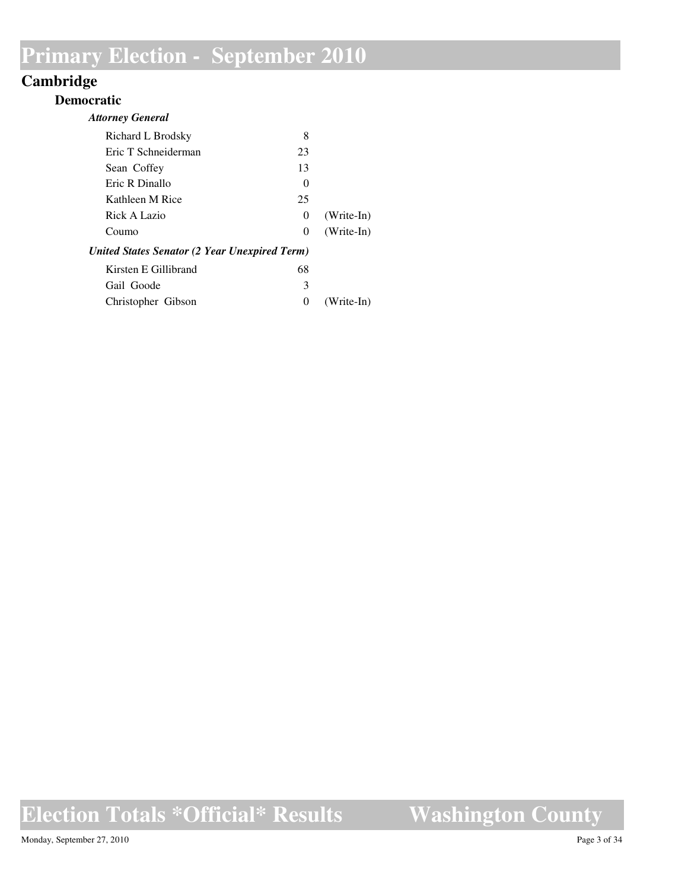## **Cambridge**

#### **Democratic**

| <b>Attorney General</b>                       |          |              |
|-----------------------------------------------|----------|--------------|
| Richard L Brodsky                             | 8        |              |
| Eric T Schneiderman                           | 23       |              |
| Sean Coffey                                   | 13       |              |
| Eric R Dinallo                                | $\theta$ |              |
| Kathleen M Rice                               | 25       |              |
| Rick A Lazio                                  | $\theta$ | $(Write-In)$ |
| Coumo                                         | 0        | $(Write-In)$ |
| United States Senator (2 Year Unexpired Term) |          |              |
| Kirsten E Gillibrand                          | 68       |              |
| Gail Goode                                    | 3        |              |
| Christopher Gibson                            | $\Omega$ | $(Write-In)$ |

# **Election Totals \*Official\* Results**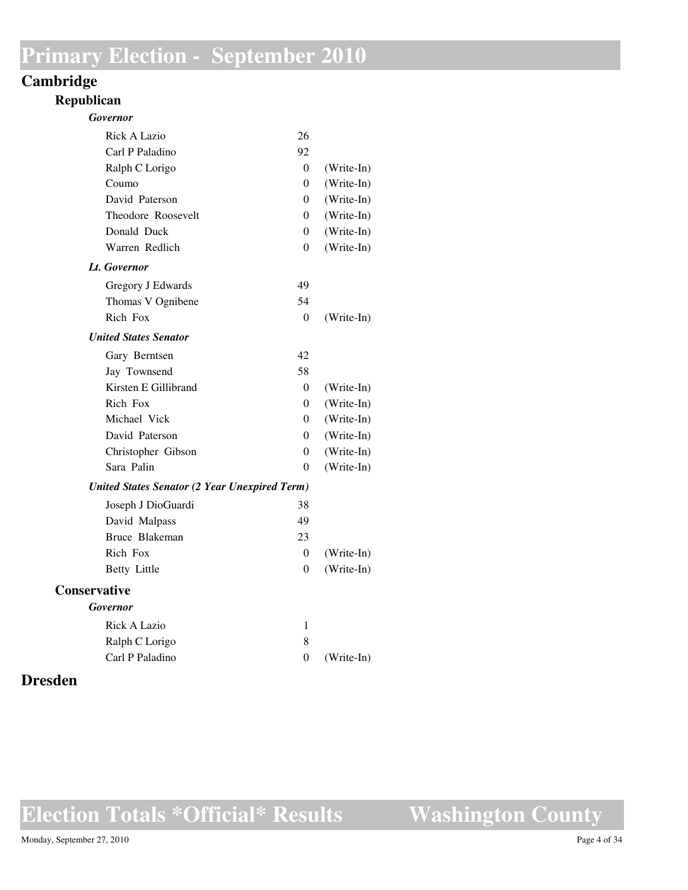## **Cambridge**

#### **Republican**

| <b>Governor</b>                                      |                |            |
|------------------------------------------------------|----------------|------------|
| <b>Rick A Lazio</b>                                  | 26             |            |
| Carl P Paladino                                      | 92             |            |
| Ralph C Lorigo                                       | 0              | (Write-In) |
| Coumo                                                | 0              | (Write-In) |
| David Paterson                                       | 0              | (Write-In) |
| Theodore Roosevelt                                   | 0              | (Write-In) |
| Donald Duck                                          | 0              | (Write-In) |
| Warren Redlich                                       | $\overline{0}$ | (Write-In) |
| Lt. Governor                                         |                |            |
| Gregory J Edwards                                    | 49             |            |
| Thomas V Ognibene                                    | 54             |            |
| Rich Fox                                             | $\theta$       | (Write-In) |
| <b>United States Senator</b>                         |                |            |
| Gary Berntsen                                        | 42             |            |
| Jay Townsend                                         | 58             |            |
| Kirsten E Gillibrand                                 | 0              | (Write-In) |
| Rich Fox                                             | $\theta$       | (Write-In) |
| Michael Vick                                         | 0              | (Write-In) |
| David Paterson                                       | 0              | (Write-In) |
| Christopher Gibson                                   | 0              | (Write-In) |
| Sara Palin                                           | 0              | (Write-In) |
| <b>United States Senator (2 Year Unexpired Term)</b> |                |            |
| Joseph J DioGuardi                                   | 38             |            |
| David Malpass                                        | 49             |            |
| Bruce Blakeman                                       | 23             |            |
| Rich Fox                                             | $\theta$       | (Write-In) |
| <b>Betty Little</b>                                  | $\Omega$       | (Write-In) |
| <b>Conservative</b>                                  |                |            |
| <b>Governor</b>                                      |                |            |
| Rick A Lazio                                         | 1              |            |
| Ralph C Lorigo                                       | 8              |            |
| Carl P Paladino                                      | $\theta$       | (Write-In) |

### **Dresden**

**Election Totals \*Official\* Results**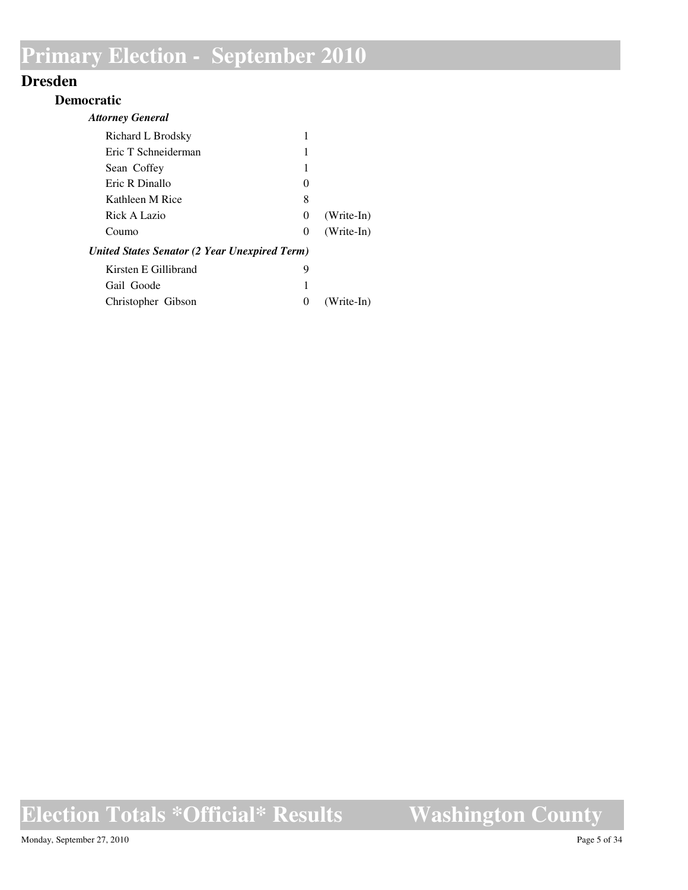## **Dresden**

#### **Democratic**

| <b>Attorney General</b>                       |          |              |
|-----------------------------------------------|----------|--------------|
| Richard L Brodsky                             |          |              |
| Eric T Schneiderman                           |          |              |
| Sean Coffey                                   |          |              |
| Eric R Dinallo                                | 0        |              |
| Kathleen M Rice                               | 8        |              |
| Rick A Lazio                                  | $\Omega$ | $(Write-In)$ |
| Coumo                                         | $\theta$ | $(Write-In)$ |
| United States Senator (2 Year Unexpired Term) |          |              |
| Kirsten E Gillibrand                          | 9        |              |
| Gail Goode                                    |          |              |
| Christopher Gibson                            | 0        | (Write-In)   |

## **Election Totals \*Official\* Results**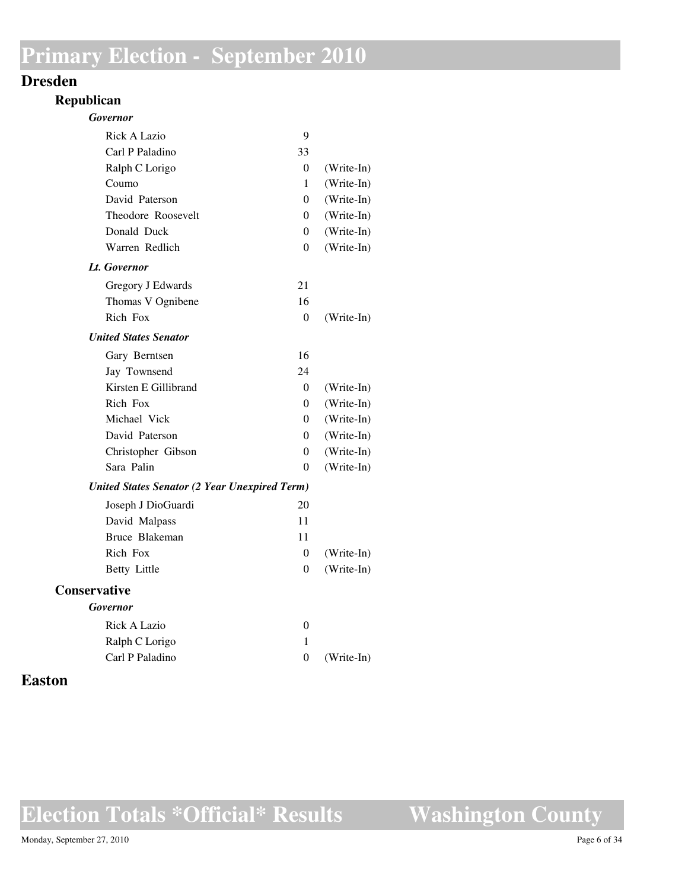### **Dresden**

#### **Republican**

| Governor                                             |                |            |
|------------------------------------------------------|----------------|------------|
| Rick A Lazio                                         | 9              |            |
| Carl P Paladino                                      | 33             |            |
| Ralph C Lorigo                                       | 0              | (Write-In) |
| Coumo                                                | 1              | (Write-In) |
| David Paterson                                       | 0              | (Write-In) |
| Theodore Roosevelt                                   | $\theta$       | (Write-In) |
| Donald Duck                                          | $\overline{0}$ | (Write-In) |
| Warren Redlich                                       | $\theta$       | (Write-In) |
| Lt. Governor                                         |                |            |
| Gregory J Edwards                                    | 21             |            |
| Thomas V Ognibene                                    | 16             |            |
| Rich Fox                                             | $\theta$       | (Write-In) |
| <b>United States Senator</b>                         |                |            |
| Gary Berntsen                                        | 16             |            |
| Jay Townsend                                         | 24             |            |
| Kirsten E Gillibrand                                 | 0              | (Write-In) |
| Rich Fox                                             | $\theta$       | (Write-In) |
| Michael Vick                                         | $\theta$       | (Write-In) |
| David Paterson                                       | 0              | (Write-In) |
| Christopher Gibson                                   | $\theta$       | (Write-In) |
| Sara Palin                                           | $\Omega$       | (Write-In) |
| <b>United States Senator (2 Year Unexpired Term)</b> |                |            |
| Joseph J DioGuardi                                   | 20             |            |
| David Malpass                                        | 11             |            |
| Bruce Blakeman                                       | 11             |            |
| Rich Fox                                             | $\theta$       | (Write-In) |
| Betty Little                                         | $\theta$       | (Write-In) |
| Conservative                                         |                |            |
| Governor                                             |                |            |
| <b>Rick A Lazio</b>                                  | 0              |            |
| Ralph C Lorigo                                       | 1              |            |
| Carl P Paladino                                      | $\theta$       | (Write-In) |

### **Easton**

**Election Totals \*Official\* Results**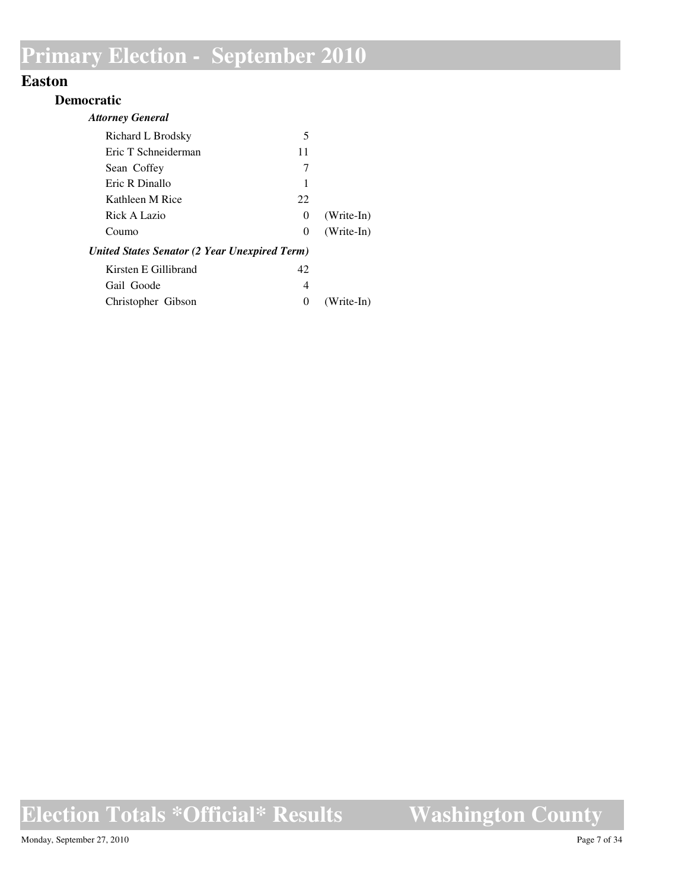### **Easton**

#### **Democratic**

| <b>Attorney General</b>                       |          |              |
|-----------------------------------------------|----------|--------------|
| Richard L Brodsky                             | 5        |              |
| Eric T Schneiderman                           | 11       |              |
| Sean Coffey                                   | 7        |              |
| Eric R Dinallo                                |          |              |
| Kathleen M Rice                               | 22       |              |
| Rick A Lazio                                  | $\theta$ | $(Write-In)$ |
| Coumo                                         | 0        | $(Write-In)$ |
| United States Senator (2 Year Unexpired Term) |          |              |
| Kirsten E Gillibrand                          | 42       |              |
| Gail Goode                                    | 4        |              |
| Christopher Gibson                            | 0        | $(Write-In)$ |

## **Election Totals \*Official\* Results**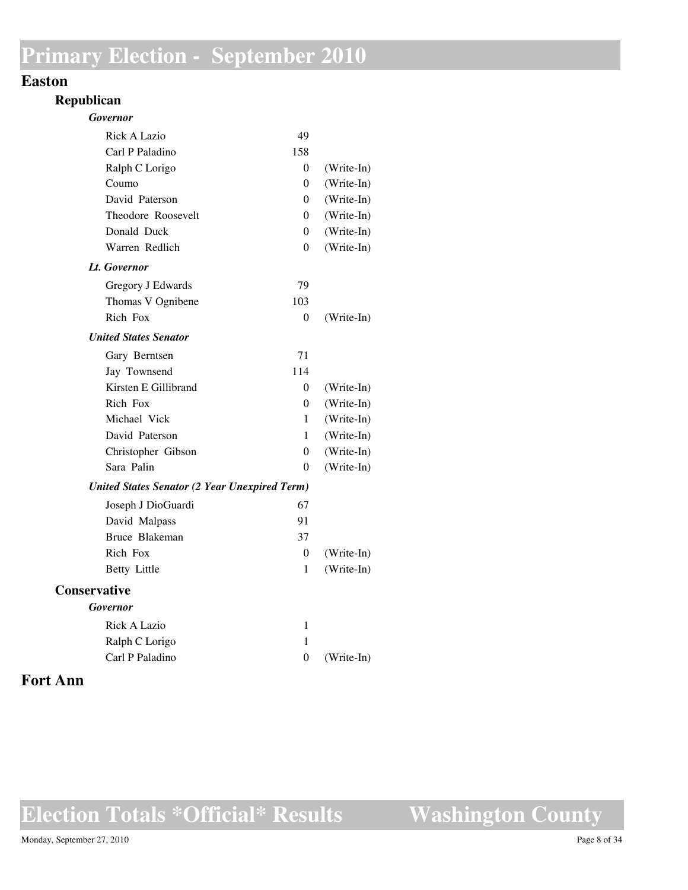#### **Easton**

#### **Republican**

| <b>Governor</b>                                      |                  |            |
|------------------------------------------------------|------------------|------------|
| Rick A Lazio                                         | 49               |            |
| Carl P Paladino                                      | 158              |            |
| Ralph C Lorigo                                       | 0                | (Write-In) |
| Coumo                                                | 0                | (Write-In) |
| David Paterson                                       | 0                | (Write-In) |
| Theodore Roosevelt                                   | $\theta$         | (Write-In) |
| Donald Duck                                          | $\overline{0}$   | (Write-In) |
| Warren Redlich                                       | 0                | (Write-In) |
| Lt. Governor                                         |                  |            |
| Gregory J Edwards                                    | 79               |            |
| Thomas V Ognibene                                    | 103              |            |
| Rich Fox                                             | 0                | (Write-In) |
| <b>United States Senator</b>                         |                  |            |
| Gary Berntsen                                        | 71               |            |
| Jay Townsend                                         | 114              |            |
| Kirsten E Gillibrand                                 | 0                | (Write-In) |
| Rich Fox                                             | 0                | (Write-In) |
| Michael Vick                                         | 1                | (Write-In) |
| David Paterson                                       | 1                | (Write-In) |
| Christopher Gibson                                   | 0                | (Write-In) |
| Sara Palin                                           | $\Omega$         | (Write-In) |
| <b>United States Senator (2 Year Unexpired Term)</b> |                  |            |
| Joseph J DioGuardi                                   | 67               |            |
| David Malpass                                        | 91               |            |
| Bruce Blakeman                                       | 37               |            |
| Rich Fox                                             | $\theta$         | (Write-In) |
| Betty Little                                         | 1                | (Write-In) |
| <b>Conservative</b>                                  |                  |            |
| Governor                                             |                  |            |
| Rick A Lazio                                         | 1                |            |
| Ralph C Lorigo                                       | 1                |            |
| Carl P Paladino                                      | $\boldsymbol{0}$ | (Write-In) |

### **Fort Ann**

**Election Totals \*Official\* Results**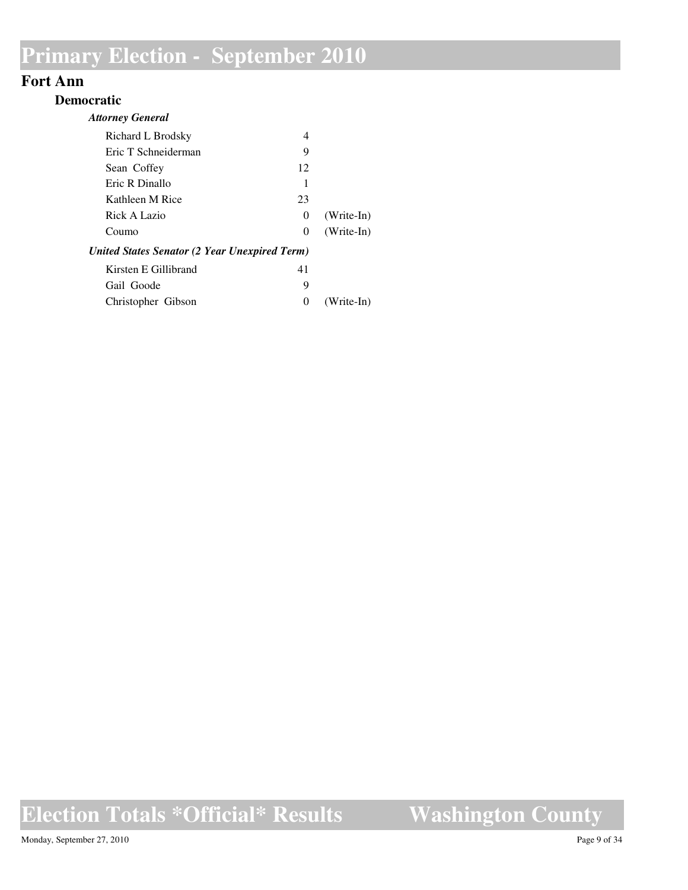### **Fort Ann**

#### **Democratic**

| <b>Attorney General</b>                       |          |              |
|-----------------------------------------------|----------|--------------|
| Richard L Brodsky                             | 4        |              |
| Eric T Schneiderman                           | 9        |              |
| Sean Coffey                                   | 12       |              |
| Eric R Dinallo                                | 1        |              |
| Kathleen M Rice                               | 23       |              |
| Rick A Lazio                                  | $\theta$ | $(Write-In)$ |
| Coumo                                         | 0        | $(Write-In)$ |
| United States Senator (2 Year Unexpired Term) |          |              |
| Kirsten E Gillibrand                          | 41       |              |
| Gail Goode                                    | 9        |              |
| Christopher Gibson                            | $\theta$ | $(Write-In)$ |

## **Election Totals \*Official\* Results**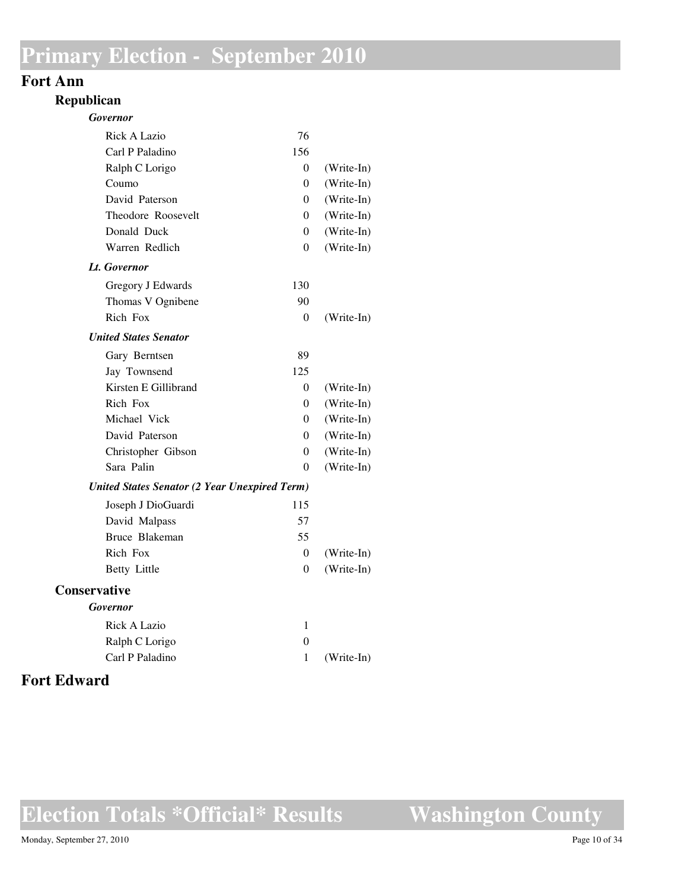### **Fort Ann**

#### **Republican**

| <b>Governor</b>                                      |                  |            |
|------------------------------------------------------|------------------|------------|
| Rick A Lazio                                         | 76               |            |
| Carl P Paladino                                      | 156              |            |
| Ralph C Lorigo                                       | 0                | (Write-In) |
| Coumo                                                | 0                | (Write-In) |
| David Paterson                                       | $\theta$         | (Write-In) |
| Theodore Roosevelt                                   | $\theta$         | (Write-In) |
| Donald Duck                                          | $\overline{0}$   | (Write-In) |
| Warren Redlich                                       | 0                | (Write-In) |
| Lt. Governor                                         |                  |            |
| Gregory J Edwards                                    | 130              |            |
| Thomas V Ognibene                                    | 90               |            |
| Rich Fox                                             | 0                | (Write-In) |
| <b>United States Senator</b>                         |                  |            |
| Gary Berntsen                                        | 89               |            |
| Jay Townsend                                         | 125              |            |
| Kirsten E Gillibrand                                 | 0                | (Write-In) |
| Rich Fox                                             | $\theta$         | (Write-In) |
| Michael Vick                                         | $\theta$         | (Write-In) |
| David Paterson                                       | 0                | (Write-In) |
| Christopher Gibson                                   | $\theta$         | (Write-In) |
| Sara Palin                                           | $\Omega$         | (Write-In) |
| <b>United States Senator (2 Year Unexpired Term)</b> |                  |            |
| Joseph J DioGuardi                                   | 115              |            |
| David Malpass                                        | 57               |            |
| Bruce Blakeman                                       | 55               |            |
| Rich Fox                                             | $\theta$         | (Write-In) |
| Betty Little                                         | $\theta$         | (Write-In) |
| Conservative                                         |                  |            |
| Governor                                             |                  |            |
| <b>Rick A Lazio</b>                                  | 1                |            |
| Ralph C Lorigo                                       | $\boldsymbol{0}$ |            |
| Carl P Paladino                                      | 1                | (Write-In) |

### **Fort Edward**

**Election Totals \*Official\* Results**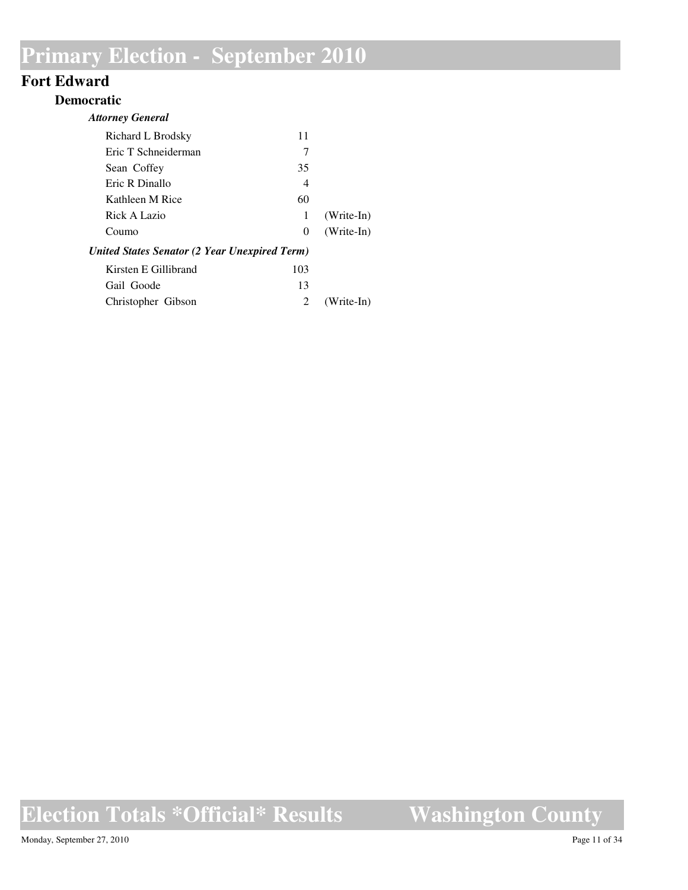## **Fort Edward**

#### **Democratic**

| <b>Attorney General</b>                              |          |              |
|------------------------------------------------------|----------|--------------|
| Richard L Brodsky                                    | 11       |              |
| Eric T Schneiderman                                  | 7        |              |
| Sean Coffey                                          | 35       |              |
| Eric R Dinallo                                       | 4        |              |
| Kathleen M Rice                                      | 60       |              |
| Rick A Lazio                                         | 1        | $(Write-In)$ |
| Coumo                                                | $\theta$ | $(Write-In)$ |
| <b>United States Senator (2 Year Unexpired Term)</b> |          |              |
| Kirsten E Gillibrand                                 | 103      |              |
| Gail Goode                                           | 13       |              |
| Christopher Gibson                                   | 2        | $(Write-In)$ |

# **Election Totals \*Official\* Results**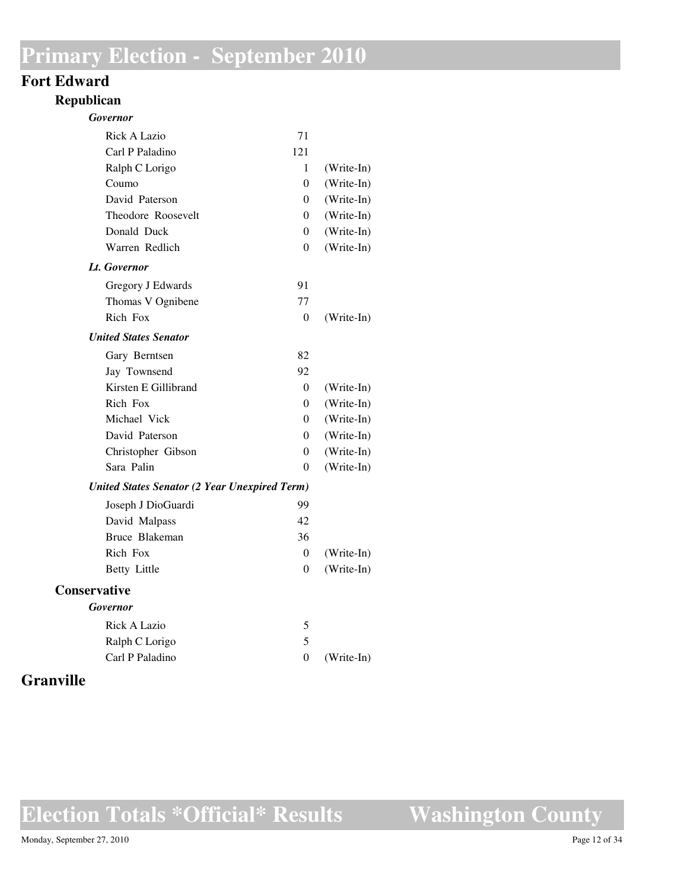### **Fort Edward**

#### **Republican**

| <b>Governor</b>                                      |                  |            |
|------------------------------------------------------|------------------|------------|
| <b>Rick A Lazio</b>                                  | 71               |            |
| Carl P Paladino                                      | 121              |            |
| Ralph C Lorigo                                       | 1                | (Write-In) |
| Coumo                                                | $\boldsymbol{0}$ | (Write-In) |
| David Paterson                                       | 0                | (Write-In) |
| Theodore Roosevelt                                   | 0                | (Write-In) |
| Donald Duck                                          | 0                | (Write-In) |
| Warren Redlich                                       | 0                | (Write-In) |
| Lt. Governor                                         |                  |            |
| Gregory J Edwards                                    | 91               |            |
| Thomas V Ognibene                                    | 77               |            |
| Rich Fox                                             | 0                | (Write-In) |
| <b>United States Senator</b>                         |                  |            |
| Gary Berntsen                                        | 82               |            |
| Jay Townsend                                         | 92               |            |
| Kirsten E Gillibrand                                 | 0                | (Write-In) |
| Rich Fox                                             | 0                | (Write-In) |
| Michael Vick                                         | 0                | (Write-In) |
| David Paterson                                       | 0                | (Write-In) |
| Christopher Gibson                                   | 0                | (Write-In) |
| Sara Palin                                           | 0                | (Write-In) |
| <b>United States Senator (2 Year Unexpired Term)</b> |                  |            |
| Joseph J DioGuardi                                   | 99               |            |
| David Malpass                                        | 42               |            |
| Bruce Blakeman                                       | 36               |            |
| Rich Fox                                             | 0                | (Write-In) |
| <b>Betty Little</b>                                  | $\overline{0}$   | (Write-In) |
| <b>Conservative</b>                                  |                  |            |
| <b>Governor</b>                                      |                  |            |
| <b>Rick A Lazio</b>                                  | 5                |            |
| Ralph C Lorigo                                       | 5                |            |
| Carl P Paladino                                      | $\overline{0}$   | (Write-In) |

## **Granville**

**Election Totals \*Official\* Results**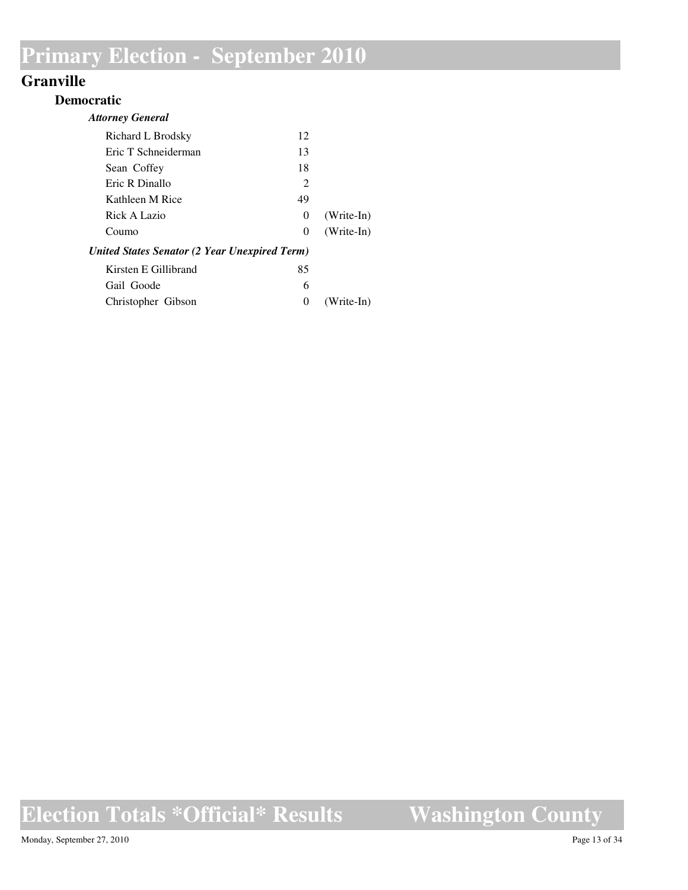## **Granville**

#### **Democratic**

| <b>Attorney General</b>                       |                             |              |
|-----------------------------------------------|-----------------------------|--------------|
| Richard L Brodsky                             | 12                          |              |
| Eric T Schneiderman                           | 13                          |              |
| Sean Coffey                                   | 18                          |              |
| Eric R Dinallo                                | $\mathcal{D}_{\mathcal{L}}$ |              |
| Kathleen M Rice                               | 49                          |              |
| Rick A Lazio                                  | $\theta$                    | $(Write-In)$ |
| Coumo                                         | $\theta$                    | $(Write-In)$ |
| United States Senator (2 Year Unexpired Term) |                             |              |
| Kirsten E Gillibrand                          | 85                          |              |
| Gail Goode                                    | 6                           |              |
| Christopher Gibson                            | $\mathcal{L}$               | (Write-In)   |

## **Election Totals \*Official\* Results**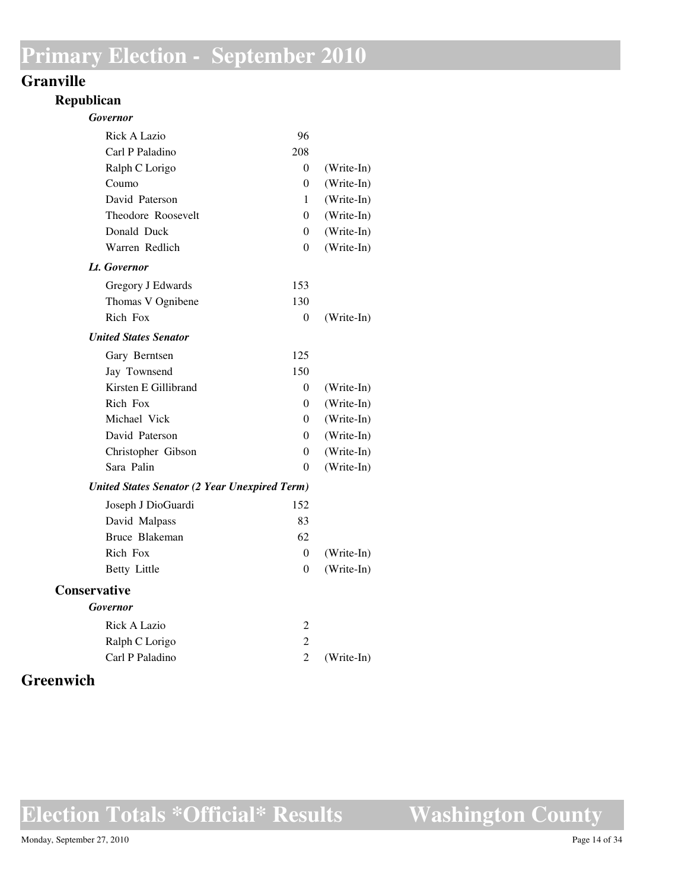### **Granville**

#### **Republican**

| <b>Governor</b>                                      |                |              |
|------------------------------------------------------|----------------|--------------|
| <b>Rick A Lazio</b>                                  | 96             |              |
| Carl P Paladino                                      | 208            |              |
| Ralph C Lorigo                                       | 0              | (Write-In)   |
| Coumo                                                | 0              | (Write-In)   |
| David Paterson                                       | 1              | (Write-In)   |
| Theodore Roosevelt                                   | 0              | (Write-In)   |
| Donald Duck                                          | $\Omega$       | (Write-In)   |
| Warren Redlich                                       | $\theta$       | (Write-In)   |
| Lt. Governor                                         |                |              |
| Gregory J Edwards                                    | 153            |              |
| Thomas V Ognibene                                    | 130            |              |
| Rich Fox                                             | 0              | (Write-In)   |
| <b>United States Senator</b>                         |                |              |
| Gary Berntsen                                        | 125            |              |
| Jay Townsend                                         | 150            |              |
| Kirsten E Gillibrand                                 | 0              | (Write-In)   |
| Rich Fox                                             | $\theta$       | (Write-In)   |
| Michael Vick                                         | 0              | (Write-In)   |
| David Paterson                                       | $\Omega$       | (Write-In)   |
| Christopher Gibson                                   | 0              | (Write-In)   |
| Sara Palin                                           | $\Omega$       | (Write-In)   |
| <b>United States Senator (2 Year Unexpired Term)</b> |                |              |
| Joseph J DioGuardi                                   | 152            |              |
| David Malpass                                        | 83             |              |
| Bruce Blakeman                                       | 62             |              |
| Rich Fox                                             | $\theta$       | (Write-In)   |
| <b>Betty Little</b>                                  | $\theta$       | (Write-In)   |
| <b>Conservative</b>                                  |                |              |
| <b>Governor</b>                                      |                |              |
| Rick A Lazio                                         | 2              |              |
| Ralph C Lorigo                                       | $\overline{2}$ |              |
| Carl P Paladino                                      | $\overline{c}$ | $(Write-In)$ |

### **Greenwich**

**Election Totals \*Official\* Results**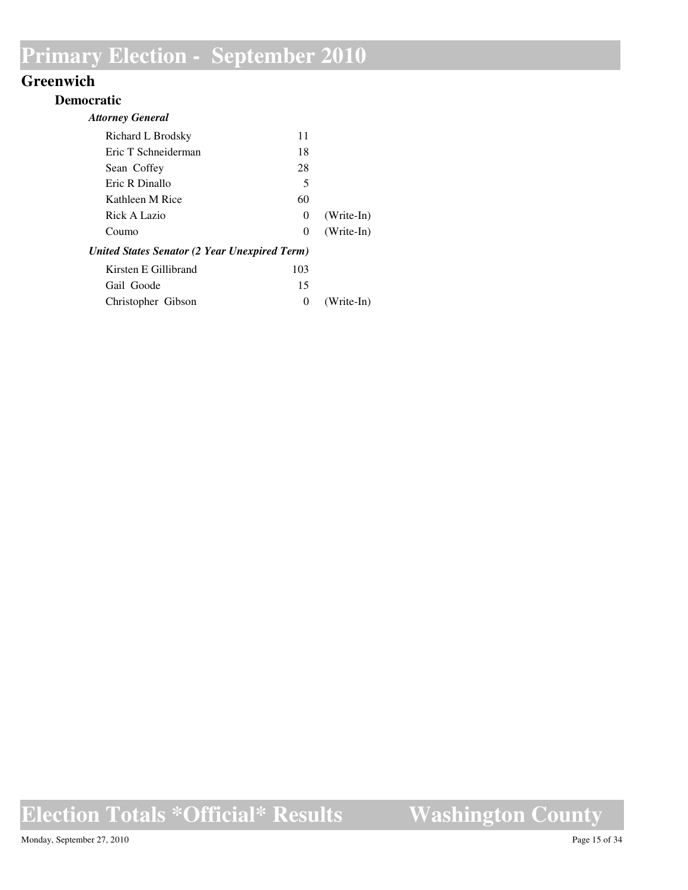## **Greenwich**

#### **Democratic**

| <b>Attorney General</b>                       |          |              |
|-----------------------------------------------|----------|--------------|
| Richard L Brodsky                             | 11       |              |
| Eric T Schneiderman                           | 18       |              |
| Sean Coffey                                   | 28       |              |
| Eric R Dinallo                                | 5        |              |
| Kathleen M Rice                               | 60       |              |
| Rick A Lazio                                  | $\Omega$ | $(Write-In)$ |
| Coumo                                         | $\Omega$ | $(Write-In)$ |
| United States Senator (2 Year Unexpired Term) |          |              |
| Kirsten E Gillibrand                          | 103      |              |
| Gail Goode                                    | 15       |              |
| Christopher Gibson                            | 0        | $(Write-In)$ |

# **Election Totals \*Official\* Results**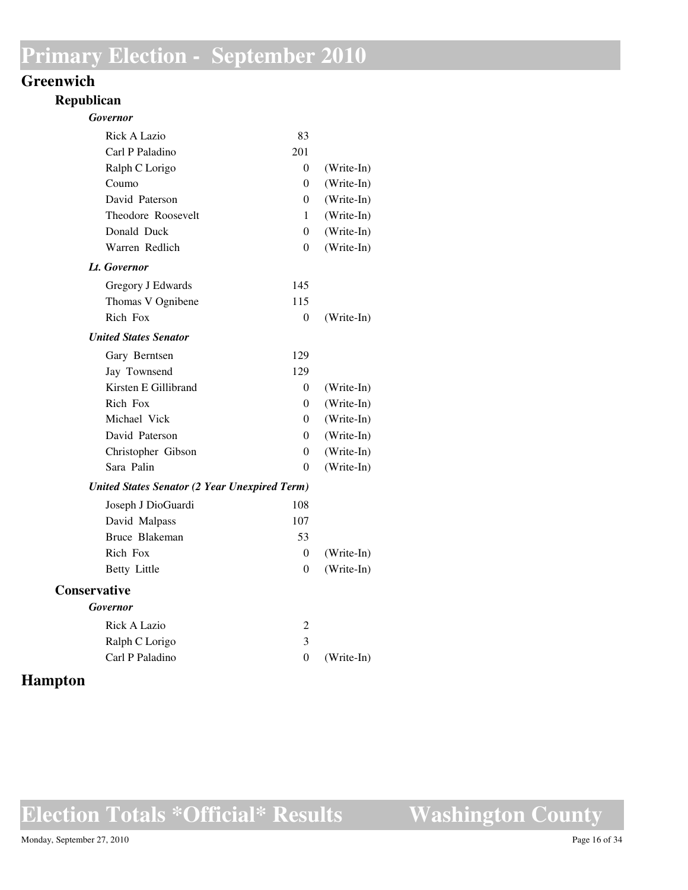### **Greenwich**

#### **Republican**

| <b>Governor</b>                                      |                |            |
|------------------------------------------------------|----------------|------------|
| <b>Rick A Lazio</b>                                  | 83             |            |
| Carl P Paladino                                      | 201            |            |
| Ralph C Lorigo                                       | 0              | (Write-In) |
| Coumo                                                | 0              | (Write-In) |
| David Paterson                                       | 0              | (Write-In) |
| Theodore Roosevelt                                   | 1              | (Write-In) |
| Donald Duck                                          | $\theta$       | (Write-In) |
| Warren Redlich                                       | $\overline{0}$ | (Write-In) |
| Lt. Governor                                         |                |            |
| Gregory J Edwards                                    | 145            |            |
| Thomas V Ognibene                                    | 115            |            |
| Rich Fox                                             | 0              | (Write-In) |
| <b>United States Senator</b>                         |                |            |
| Gary Berntsen                                        | 129            |            |
| Jay Townsend                                         | 129            |            |
| Kirsten E Gillibrand                                 | 0              | (Write-In) |
| Rich Fox                                             | $\Omega$       | (Write-In) |
| Michael Vick                                         | 0              | (Write-In) |
| David Paterson                                       | 0              | (Write-In) |
| Christopher Gibson                                   | 0              | (Write-In) |
| Sara Palin                                           | 0              | (Write-In) |
| <b>United States Senator (2 Year Unexpired Term)</b> |                |            |
| Joseph J DioGuardi                                   | 108            |            |
| David Malpass                                        | 107            |            |
| Bruce Blakeman                                       | 53             |            |
| Rich Fox                                             | $\theta$       | (Write-In) |
| <b>Betty Little</b>                                  | $\Omega$       | (Write-In) |
| <b>Conservative</b>                                  |                |            |
| Governor                                             |                |            |
| Rick A Lazio                                         | 2              |            |
| Ralph C Lorigo                                       | 3              |            |
| Carl P Paladino                                      | $\theta$       | (Write-In) |

## **Hampton**

**Election Totals \*Official\* Results**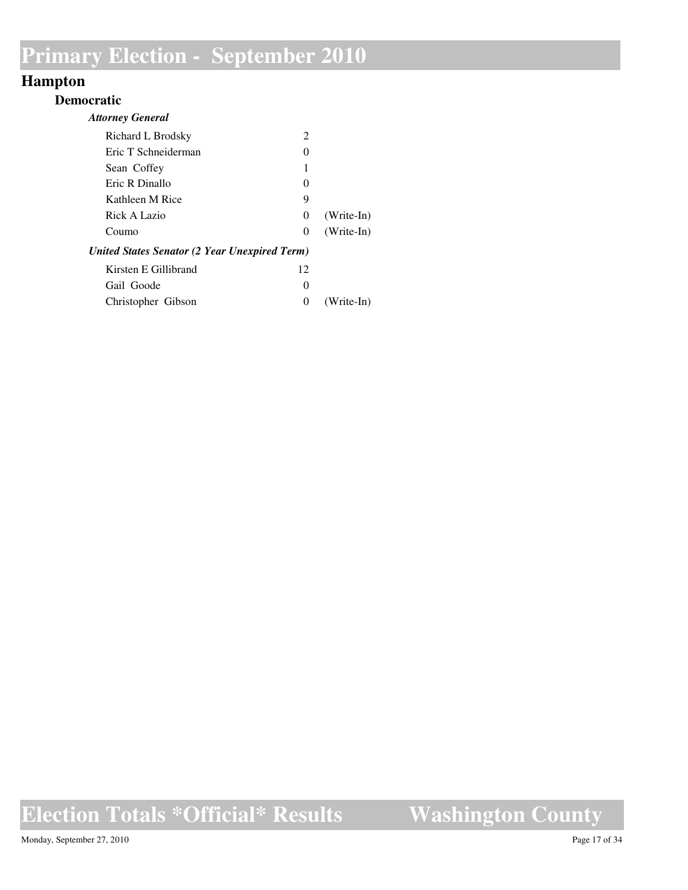### **Hampton**

#### **Democratic**

| <b>Attorney General</b>                       |                             |              |
|-----------------------------------------------|-----------------------------|--------------|
| Richard L Brodsky                             | $\mathcal{D}_{\mathcal{L}}$ |              |
| Eric T Schneiderman                           | $\Omega$                    |              |
| Sean Coffey                                   | 1                           |              |
| Eric R Dinallo                                | $\theta$                    |              |
| Kathleen M Rice                               | 9                           |              |
| Rick A Lazio                                  | $\theta$                    | $(Write-In)$ |
| Coumo                                         | $\theta$                    | $(Write-In)$ |
| United States Senator (2 Year Unexpired Term) |                             |              |
| Kirsten E Gillibrand                          | 12                          |              |
| Gail Goode                                    | $\Omega$                    |              |
| Christopher Gibson                            | 0                           | (Write-In)   |

## **Election Totals \*Official\* Results**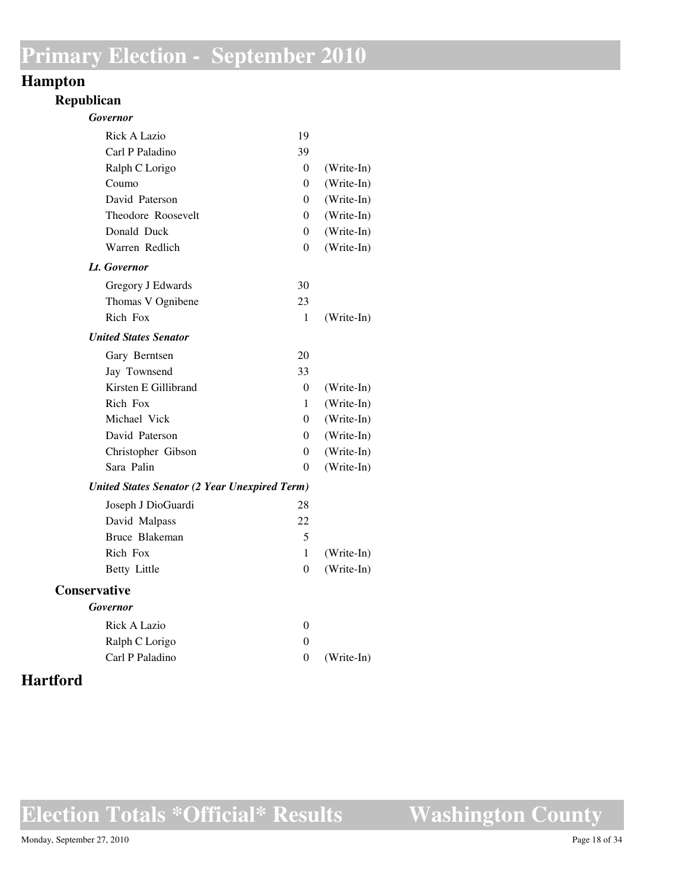## **Hampton**

#### **Republican**

| <b>Governor</b>                                      |                |            |
|------------------------------------------------------|----------------|------------|
| <b>Rick A Lazio</b>                                  | 19             |            |
| Carl P Paladino                                      | 39             |            |
| Ralph C Lorigo                                       | 0              | (Write-In) |
| Coumo                                                | $\theta$       | (Write-In) |
| David Paterson                                       | 0              | (Write-In) |
| Theodore Roosevelt                                   | 0              | (Write-In) |
| Donald Duck                                          | $\theta$       | (Write-In) |
| Warren Redlich                                       | $\overline{0}$ | (Write-In) |
| Lt. Governor                                         |                |            |
| Gregory J Edwards                                    | 30             |            |
| Thomas V Ognibene                                    | 23             |            |
| Rich Fox                                             | 1              | (Write-In) |
| <b>United States Senator</b>                         |                |            |
| Gary Berntsen                                        | 20             |            |
| Jay Townsend                                         | 33             |            |
| Kirsten E Gillibrand                                 | $\theta$       | (Write-In) |
| Rich Fox                                             | 1              | (Write-In) |
| Michael Vick                                         | $\overline{0}$ | (Write-In) |
| David Paterson                                       | 0              | (Write-In) |
| Christopher Gibson                                   | 0              | (Write-In) |
| Sara Palin                                           | 0              | (Write-In) |
| <b>United States Senator (2 Year Unexpired Term)</b> |                |            |
| Joseph J DioGuardi                                   | 28             |            |
| David Malpass                                        | 22             |            |
| Bruce Blakeman                                       | 5              |            |
| Rich Fox                                             | 1              | (Write-In) |
| <b>Betty Little</b>                                  | $\overline{0}$ | (Write-In) |
| <b>Conservative</b>                                  |                |            |
| <b>Governor</b>                                      |                |            |
| <b>Rick A Lazio</b>                                  | $\theta$       |            |
| Ralph C Lorigo                                       | 0              |            |
| Carl P Paladino                                      | $\overline{0}$ | (Write-In) |

## **Hartford**

**Election Totals \*Official\* Results**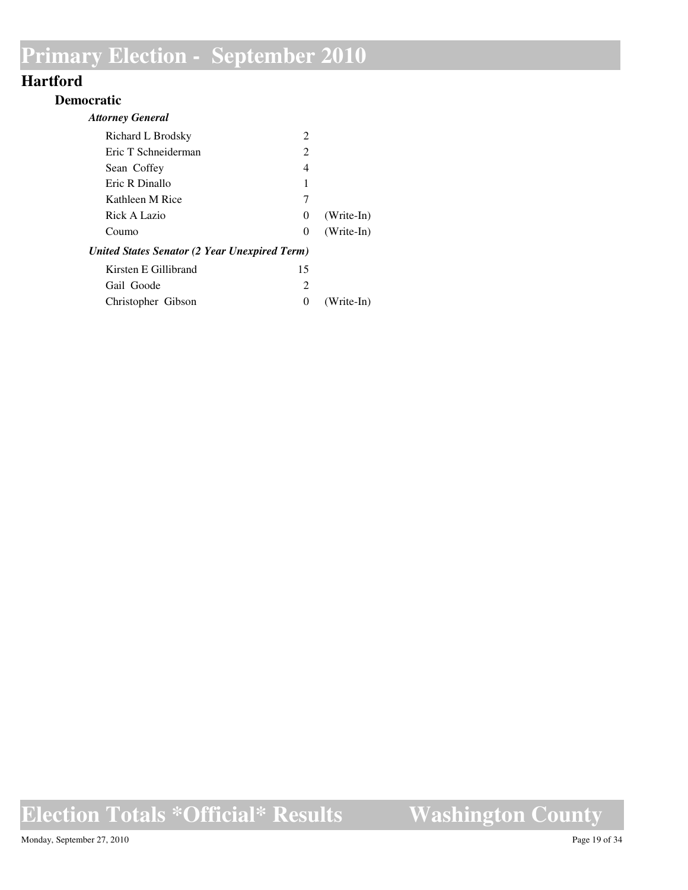## **Hartford**

#### **Democratic**

| <b>Attorney General</b>                       |                             |              |
|-----------------------------------------------|-----------------------------|--------------|
| Richard L Brodsky                             | $\mathcal{D}_{\mathcal{L}}$ |              |
| Eric T Schneiderman                           | $\mathcal{D}_{\mathcal{L}}$ |              |
| Sean Coffey                                   | 4                           |              |
| Eric R Dinallo                                | 1                           |              |
| Kathleen M Rice                               | 7                           |              |
| Rick A Lazio                                  | $\theta$                    | $(Write-In)$ |
| Coumo                                         | 0                           | $(Write-In)$ |
| United States Senator (2 Year Unexpired Term) |                             |              |
| Kirsten E Gillibrand                          | 15                          |              |
| Gail Goode                                    | 2                           |              |
| Christopher Gibson                            | $\theta$                    | $(Write-In)$ |

## **Election Totals \*Official\* Results**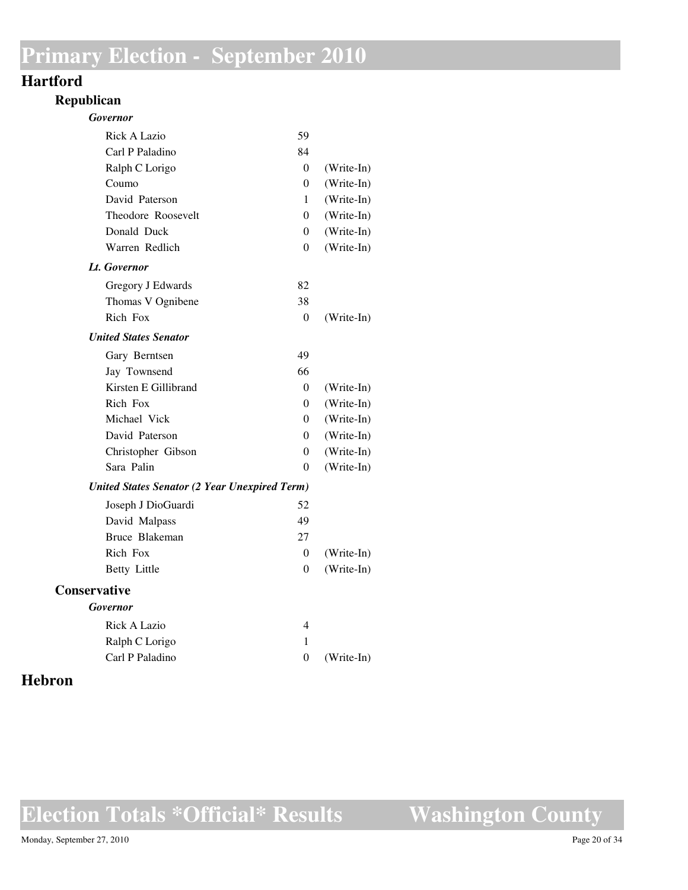### **Hartford**

#### **Republican**

| <b>Governor</b>                                      |                |            |
|------------------------------------------------------|----------------|------------|
| Rick A Lazio                                         | 59             |            |
| Carl P Paladino                                      | 84             |            |
| Ralph C Lorigo                                       | 0              | (Write-In) |
| Coumo                                                | 0              | (Write-In) |
| David Paterson                                       | 1              | (Write-In) |
| Theodore Roosevelt                                   | 0              | (Write-In) |
| Donald Duck                                          | $\overline{0}$ | (Write-In) |
| Warren Redlich                                       | $\theta$       | (Write-In) |
| Lt. Governor                                         |                |            |
| Gregory J Edwards                                    | 82             |            |
| Thomas V Ognibene                                    | 38             |            |
| Rich Fox                                             | $\Omega$       | (Write-In) |
| <b>United States Senator</b>                         |                |            |
| Gary Berntsen                                        | 49             |            |
| Jay Townsend                                         | 66             |            |
| Kirsten E Gillibrand                                 | $\Omega$       | (Write-In) |
| Rich Fox                                             | $\theta$       | (Write-In) |
| Michael Vick                                         | 0              | (Write-In) |
| David Paterson                                       | $\theta$       | (Write-In) |
| Christopher Gibson                                   | 0              | (Write-In) |
| Sara Palin                                           | $\theta$       | (Write-In) |
| <b>United States Senator (2 Year Unexpired Term)</b> |                |            |
| Joseph J DioGuardi                                   | 52             |            |
| David Malpass                                        | 49             |            |
| Bruce Blakeman                                       | 27             |            |
| Rich Fox                                             | 0              | (Write-In) |
| <b>Betty Little</b>                                  | $\theta$       | (Write-In) |
| <b>Conservative</b>                                  |                |            |
| <b>Governor</b>                                      |                |            |
| <b>Rick A Lazio</b>                                  | 4              |            |
| Ralph C Lorigo                                       | 1              |            |
| Carl P Paladino                                      | 0              | (Write-In) |

## **Hebron**

**Election Totals \*Official\* Results**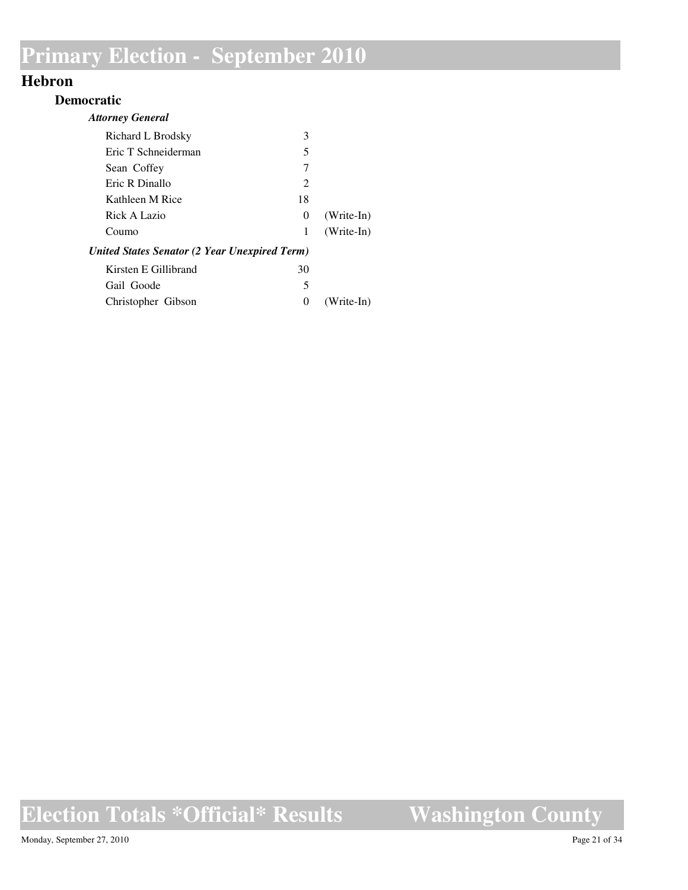### **Hebron**

#### **Democratic**

| <b>Attorney General</b>                       |                             |              |
|-----------------------------------------------|-----------------------------|--------------|
| Richard L Brodsky                             | 3                           |              |
| Eric T Schneiderman                           | 5                           |              |
| Sean Coffey                                   | 7                           |              |
| Eric R Dinallo                                | $\mathcal{D}_{\mathcal{L}}$ |              |
| Kathleen M Rice                               | 18                          |              |
| Rick A Lazio                                  | $\theta$                    | $(Write-In)$ |
| Coumo                                         | 1                           | $(Write-In)$ |
| United States Senator (2 Year Unexpired Term) |                             |              |
| Kirsten E Gillibrand                          | 30                          |              |
| Gail Goode                                    | 5                           |              |
| Christopher Gibson                            | $\mathcal{L}$               | (Write-In)   |

## **Election Totals \*Official\* Results**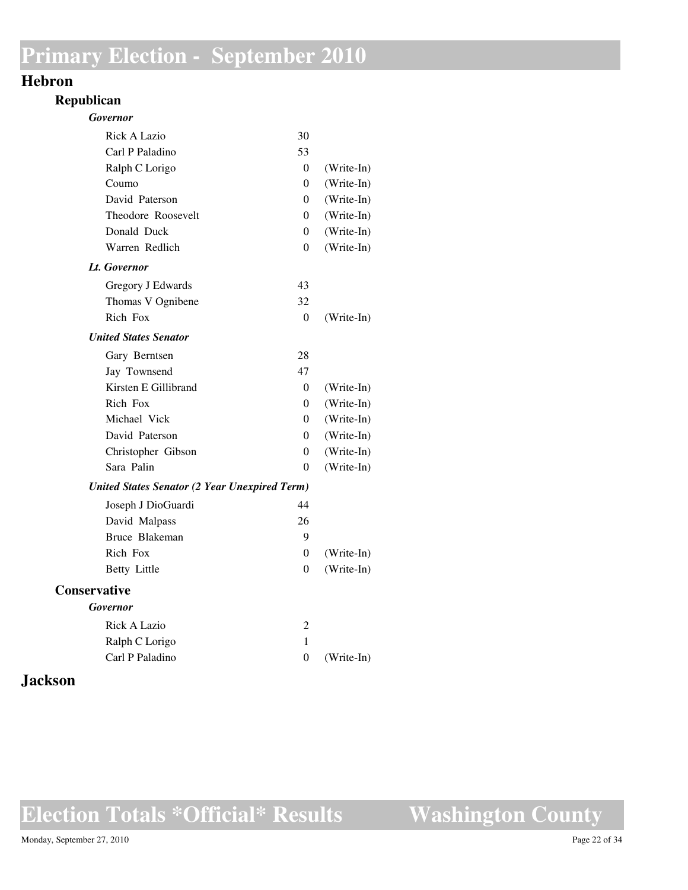### **Hebron**

#### **Republican**

| <b>Governor</b>                                      |                |            |
|------------------------------------------------------|----------------|------------|
| <b>Rick A Lazio</b>                                  | 30             |            |
| Carl P Paladino                                      | 53             |            |
| Ralph C Lorigo                                       | 0              | (Write-In) |
| Coumo                                                | 0              | (Write-In) |
| David Paterson                                       | 0              | (Write-In) |
| Theodore Roosevelt                                   | 0              | (Write-In) |
| Donald Duck                                          | 0              | (Write-In) |
| Warren Redlich                                       | $\overline{0}$ | (Write-In) |
| Lt. Governor                                         |                |            |
| Gregory J Edwards                                    | 43             |            |
| Thomas V Ognibene                                    | 32             |            |
| Rich Fox                                             | $\theta$       | (Write-In) |
| <b>United States Senator</b>                         |                |            |
| Gary Berntsen                                        | 28             |            |
| Jay Townsend                                         | 47             |            |
| Kirsten E Gillibrand                                 | 0              | (Write-In) |
| Rich Fox                                             | $\theta$       | (Write-In) |
| Michael Vick                                         | 0              | (Write-In) |
| David Paterson                                       | $\Omega$       | (Write-In) |
| Christopher Gibson                                   | 0              | (Write-In) |
| Sara Palin                                           | $\theta$       | (Write-In) |
| <b>United States Senator (2 Year Unexpired Term)</b> |                |            |
| Joseph J DioGuardi                                   | 44             |            |
| David Malpass                                        | 26             |            |
| Bruce Blakeman                                       | 9              |            |
| Rich Fox                                             | $\overline{0}$ | (Write-In) |
| Betty Little                                         | $\Omega$       | (Write-In) |
| Conservative                                         |                |            |
| Governor                                             |                |            |
| Rick A Lazio                                         | 2              |            |
| Ralph C Lorigo                                       | 1              |            |
| Carl P Paladino                                      | $\theta$       | (Write-In) |

### **Jackson**

**Election Totals \*Official\* Results**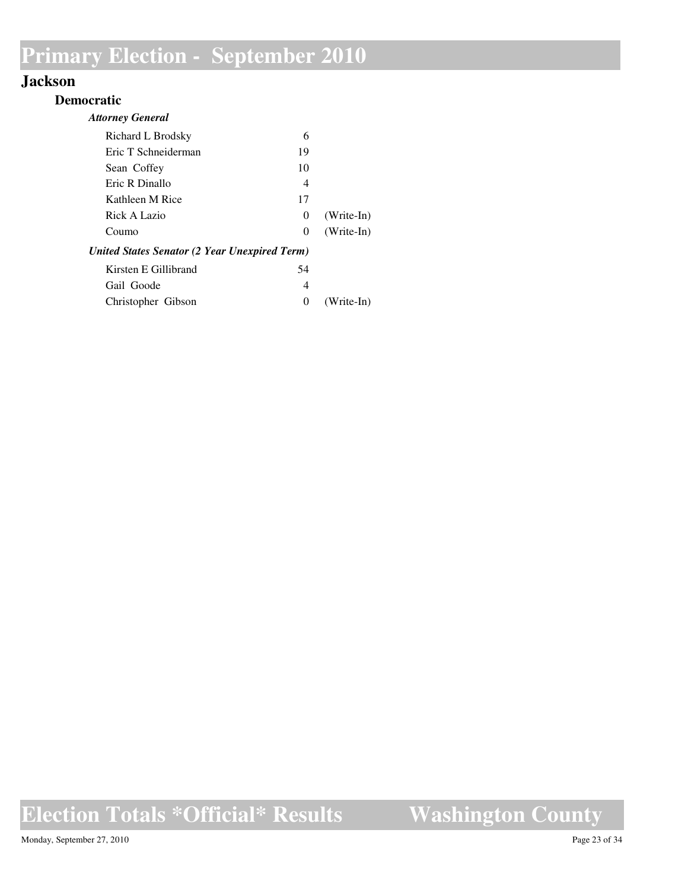### **Jackson**

#### **Democratic**

| <b>Attorney General</b>                       |          |              |
|-----------------------------------------------|----------|--------------|
| Richard L Brodsky                             | 6        |              |
| Eric T Schneiderman                           | 19       |              |
| Sean Coffey                                   | 10       |              |
| Eric R Dinallo                                | 4        |              |
| Kathleen M Rice                               | 17       |              |
| Rick A Lazio                                  | $\theta$ | $(Write-In)$ |
| Coumo                                         | 0        | $(Write-In)$ |
| United States Senator (2 Year Unexpired Term) |          |              |
| Kirsten E Gillibrand                          | 54       |              |
| Gail Goode                                    | 4        |              |
| Christopher Gibson                            | 0        | $(Write-In)$ |

## **Election Totals \*Official\* Results**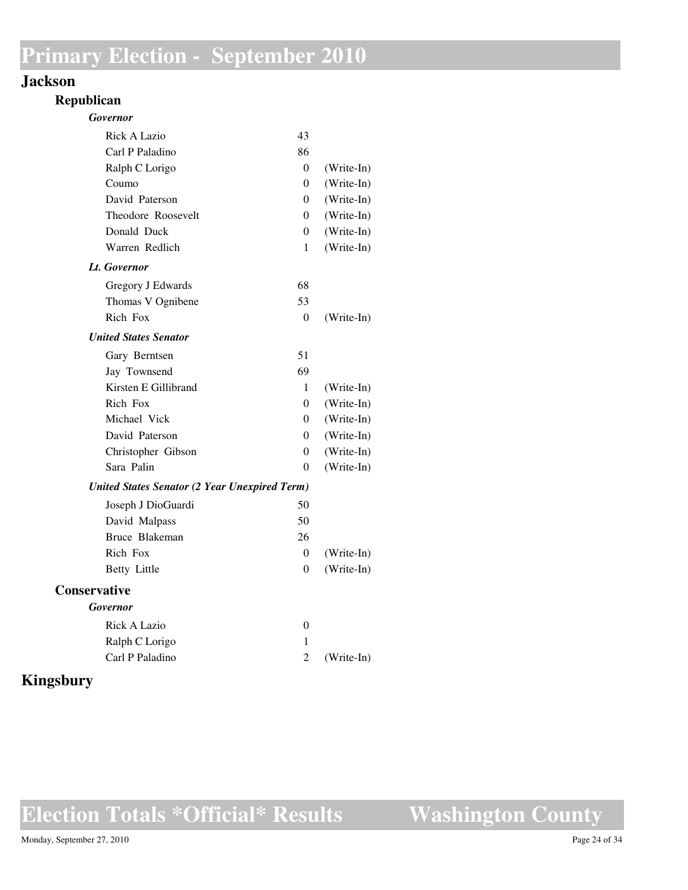### **Jackson**

#### **Republican**

| <b>Governor</b>                                      |                |            |
|------------------------------------------------------|----------------|------------|
| <b>Rick A Lazio</b>                                  | 43             |            |
| Carl P Paladino                                      | 86             |            |
| Ralph C Lorigo                                       | 0              | (Write-In) |
| Coumo                                                | $\theta$       | (Write-In) |
| David Paterson                                       | 0              | (Write-In) |
| Theodore Roosevelt                                   | 0              | (Write-In) |
| Donald Duck                                          | 0              | (Write-In) |
| Warren Redlich                                       | 1              | (Write-In) |
| Lt. Governor                                         |                |            |
| Gregory J Edwards                                    | 68             |            |
| Thomas V Ognibene                                    | 53             |            |
| Rich Fox                                             | $\theta$       | (Write-In) |
| <b>United States Senator</b>                         |                |            |
| Gary Berntsen                                        | 51             |            |
| Jay Townsend                                         | 69             |            |
| Kirsten E Gillibrand                                 | 1              | (Write-In) |
| Rich Fox                                             | $\overline{0}$ | (Write-In) |
| Michael Vick                                         | 0              | (Write-In) |
| David Paterson                                       | $\theta$       | (Write-In) |
| Christopher Gibson                                   | 0              | (Write-In) |
| Sara Palin                                           | $\Omega$       | (Write-In) |
| <b>United States Senator (2 Year Unexpired Term)</b> |                |            |
| Joseph J DioGuardi                                   | 50             |            |
| David Malpass                                        | 50             |            |
| Bruce Blakeman                                       | 26             |            |
| Rich Fox                                             | $\theta$       | (Write-In) |
| <b>Betty Little</b>                                  | 0              | (Write-In) |
| <b>Conservative</b>                                  |                |            |
| <b>Governor</b>                                      |                |            |
| Rick A Lazio                                         | 0              |            |
| Ralph C Lorigo                                       | 1              |            |
| Carl P Paladino                                      | $\overline{c}$ | (Write-In) |

## **Kingsbury**

**Election Totals \*Official\* Results**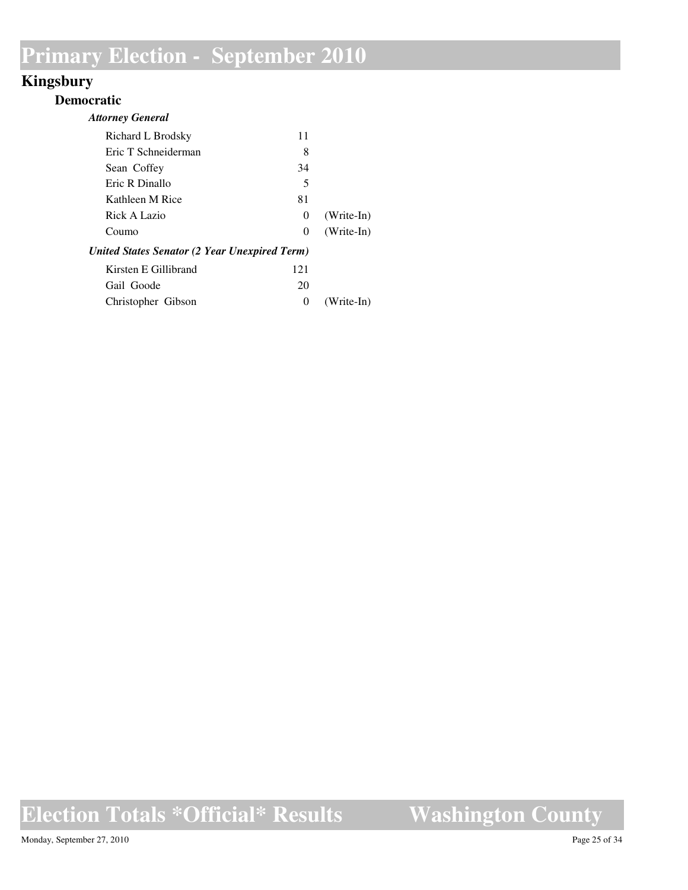## **Kingsbury**

#### **Democratic**

| <b>Attorney General</b>                       |          |              |
|-----------------------------------------------|----------|--------------|
| Richard L Brodsky                             | 11       |              |
| Eric T Schneiderman                           | 8        |              |
| Sean Coffey                                   | 34       |              |
| Eric R Dinallo                                | 5        |              |
| Kathleen M Rice                               | 81       |              |
| Rick A Lazio                                  | $\theta$ | $(Write-In)$ |
| Coumo                                         | 0        | $(Write-In)$ |
| United States Senator (2 Year Unexpired Term) |          |              |
| Kirsten E Gillibrand                          | 121      |              |
| Gail Goode                                    | 20       |              |
| Christopher Gibson                            | $\Omega$ | $(Write-In)$ |

# **Election Totals \*Official\* Results**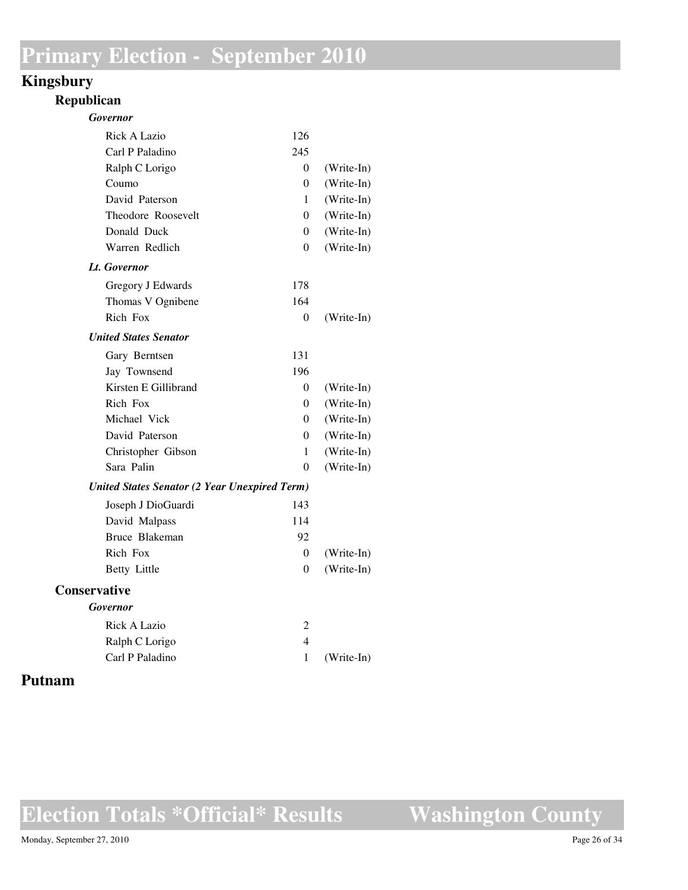## **Kingsbury**

#### **Republican**

| <b>Governor</b>                                      |                |            |
|------------------------------------------------------|----------------|------------|
| <b>Rick A Lazio</b>                                  | 126            |            |
| Carl P Paladino                                      | 245            |            |
| Ralph C Lorigo                                       | 0              | (Write-In) |
| Coumo                                                | 0              | (Write-In) |
| David Paterson                                       | 1              | (Write-In) |
| Theodore Roosevelt                                   | 0              | (Write-In) |
| Donald Duck                                          | $\overline{0}$ | (Write-In) |
| Warren Redlich                                       | $\overline{0}$ | (Write-In) |
| Lt. Governor                                         |                |            |
| Gregory J Edwards                                    | 178            |            |
| Thomas V Ognibene                                    | 164            |            |
| Rich Fox                                             | 0              | (Write-In) |
| <b>United States Senator</b>                         |                |            |
| Gary Berntsen                                        | 131            |            |
| Jay Townsend                                         | 196            |            |
| Kirsten E Gillibrand                                 | 0              | (Write-In) |
| Rich Fox                                             | $\theta$       | (Write-In) |
| Michael Vick                                         | 0              | (Write-In) |
| David Paterson                                       | $\theta$       | (Write-In) |
| Christopher Gibson                                   | 1              | (Write-In) |
| Sara Palin                                           | $\Omega$       | (Write-In) |
| <b>United States Senator (2 Year Unexpired Term)</b> |                |            |
| Joseph J DioGuardi                                   | 143            |            |
| David Malpass                                        | 114            |            |
| Bruce Blakeman                                       | 92             |            |
| Rich Fox                                             | $\overline{0}$ | (Write-In) |
| Betty Little                                         | 0              | (Write-In) |
| Conservative                                         |                |            |
| Governor                                             |                |            |
| Rick A Lazio                                         | $\overline{c}$ |            |
| Ralph C Lorigo                                       | $\overline{4}$ |            |
| Carl P Paladino                                      | $\mathbf{1}$   | (Write-In) |

### **Putnam**

**Election Totals \*Official\* Results**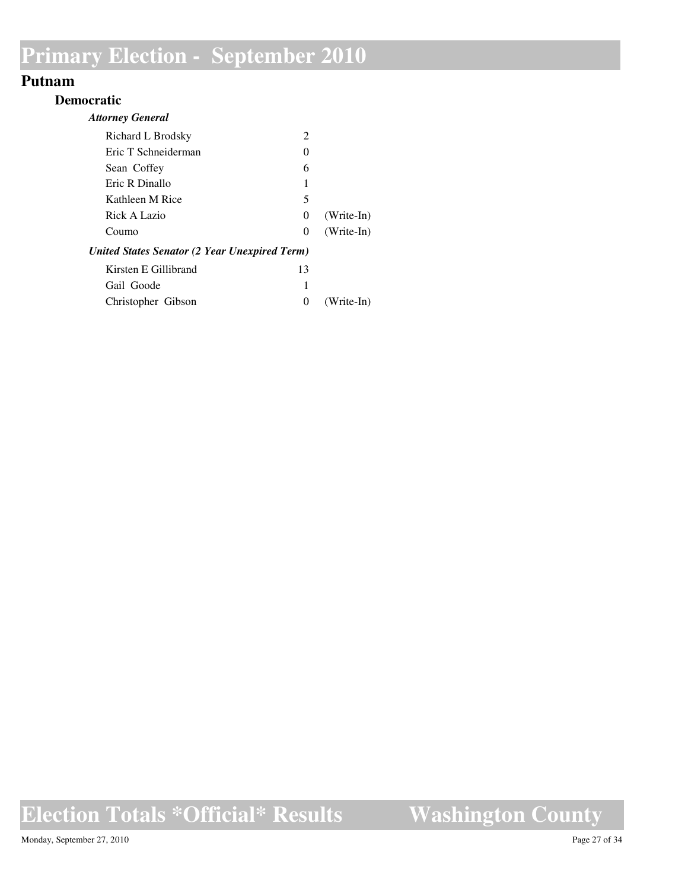#### **Putnam**

#### **Democratic**

| <b>Attorney General</b>                       |                             |              |
|-----------------------------------------------|-----------------------------|--------------|
| Richard L Brodsky                             | $\mathcal{D}_{\mathcal{L}}$ |              |
| Eric T Schneiderman                           | $\mathbf{0}$                |              |
| Sean Coffey                                   | 6                           |              |
| Eric R Dinallo                                | 1                           |              |
| Kathleen M Rice                               | 5                           |              |
| Rick A Lazio                                  | $\Omega$                    | $(Write-In)$ |
| Coumo                                         | 0                           | $(Write-In)$ |
| United States Senator (2 Year Unexpired Term) |                             |              |
| Kirsten E Gillibrand                          | 13                          |              |
| Gail Goode                                    |                             |              |
| Christopher Gibson                            | 0                           | (Write-In)   |

## **Election Totals \*Official\* Results**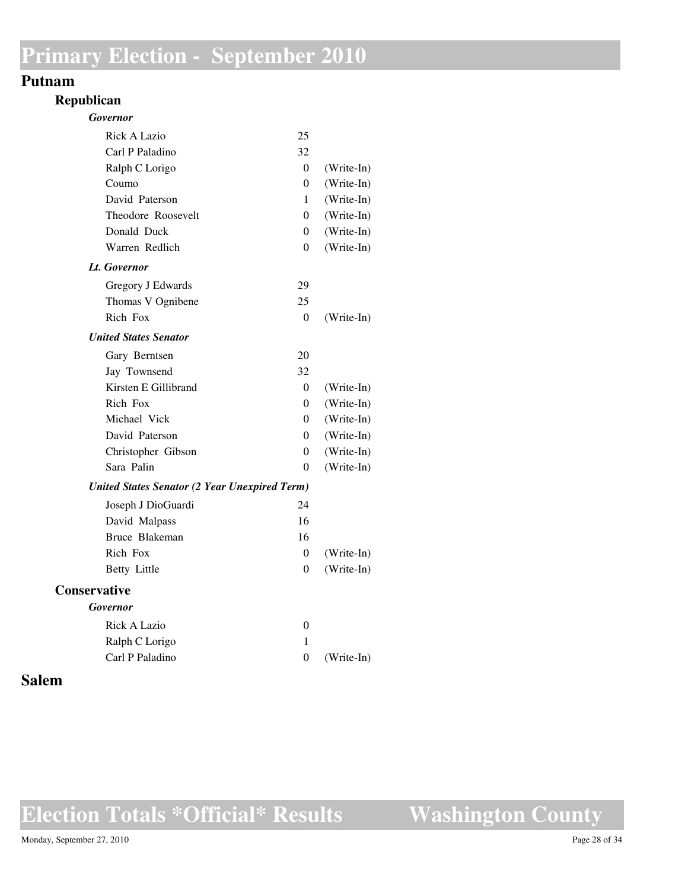#### **Putnam**

#### **Republican**

| <b>Governor</b>                                      |                |            |
|------------------------------------------------------|----------------|------------|
| Rick A Lazio                                         | 25             |            |
| Carl P Paladino                                      | 32             |            |
| Ralph C Lorigo                                       | 0              | (Write-In) |
| Coumo                                                | 0              | (Write-In) |
| David Paterson                                       | 1              | (Write-In) |
| Theodore Roosevelt                                   | 0              | (Write-In) |
| Donald Duck                                          | 0              | (Write-In) |
| Warren Redlich                                       | $\Omega$       | (Write-In) |
| Lt. Governor                                         |                |            |
| Gregory J Edwards                                    | 29             |            |
| Thomas V Ognibene                                    | 25             |            |
| Rich Fox                                             | $\theta$       | (Write-In) |
| <b>United States Senator</b>                         |                |            |
| Gary Berntsen                                        | 20             |            |
| Jay Townsend                                         | 32             |            |
| Kirsten E Gillibrand                                 | $\theta$       | (Write-In) |
| Rich Fox                                             | 0              | (Write-In) |
| Michael Vick                                         | 0              | (Write-In) |
| David Paterson                                       | $\theta$       | (Write-In) |
| Christopher Gibson                                   | $\Omega$       | (Write-In) |
| Sara Palin                                           | $\theta$       | (Write-In) |
| <b>United States Senator (2 Year Unexpired Term)</b> |                |            |
| Joseph J DioGuardi                                   | 24             |            |
| David Malpass                                        | 16             |            |
| Bruce Blakeman                                       | 16             |            |
| Rich Fox                                             | $\theta$       | (Write-In) |
| <b>Betty Little</b>                                  | $\theta$       | (Write-In) |
| Conservative                                         |                |            |
| Governor                                             |                |            |
| <b>Rick A Lazio</b>                                  | $\overline{0}$ |            |
| Ralph C Lorigo                                       | 1              |            |
| Carl P Paladino                                      | 0              | (Write-In) |

### **Salem**

**Election Totals \*Official\* Results**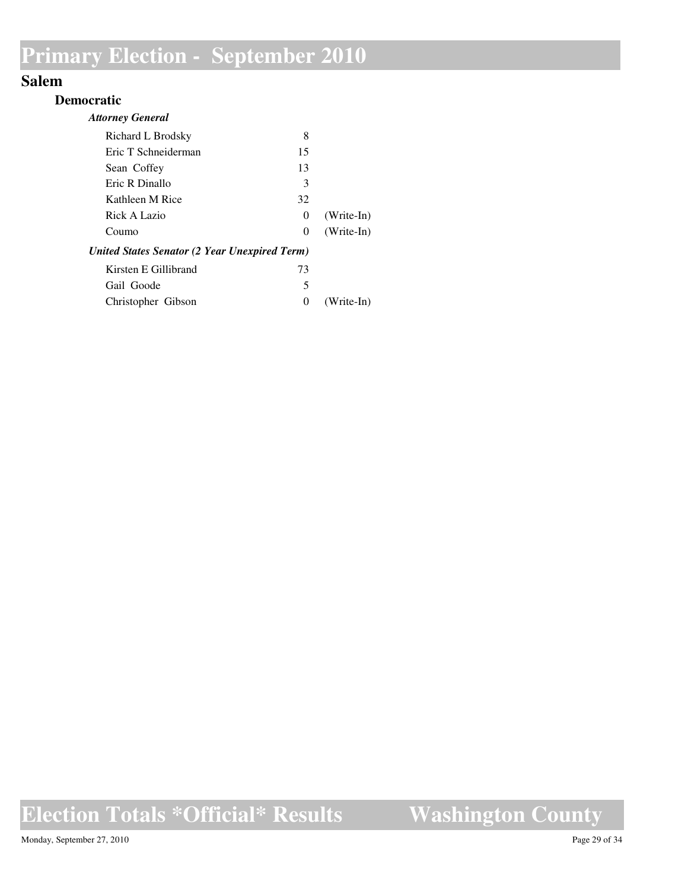### **Salem**

#### **Democratic**

| <b>Attorney General</b>                       |          |              |
|-----------------------------------------------|----------|--------------|
| Richard L Brodsky                             | 8        |              |
| Eric T Schneiderman                           | 15       |              |
| Sean Coffey                                   | 13       |              |
| Eric R Dinallo                                | 3        |              |
| Kathleen M Rice                               | 32       |              |
| Rick A Lazio                                  | $\theta$ | $(Write-In)$ |
| Coumo                                         | 0        | $(Write-In)$ |
| United States Senator (2 Year Unexpired Term) |          |              |
| Kirsten E Gillibrand                          | 73       |              |
| Gail Goode                                    | 5        |              |
| Christopher Gibson                            | $\Omega$ | $(Write-In)$ |

## **Election Totals \*Official\* Results**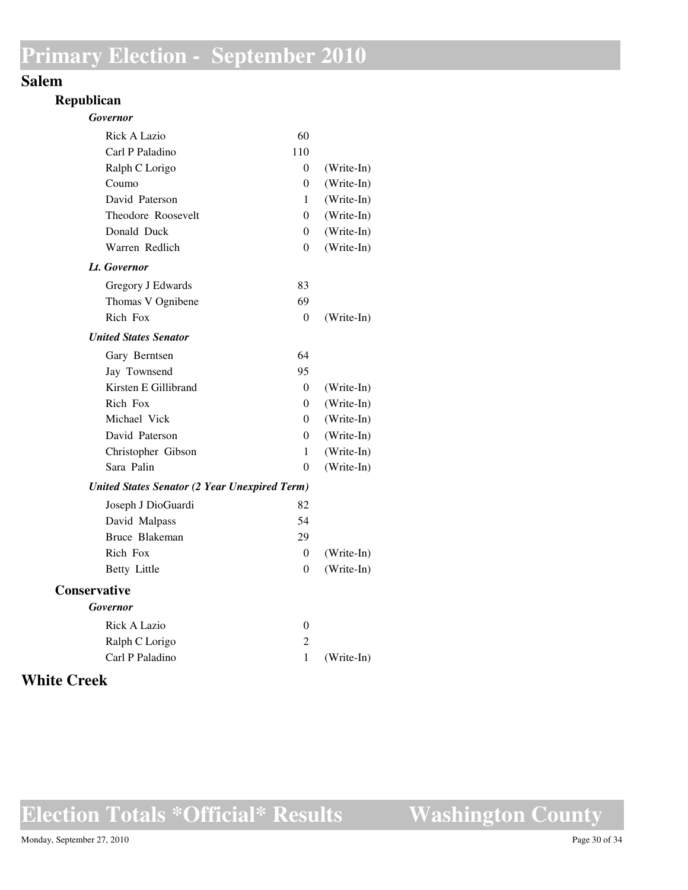### **Salem**

#### **Republican**

| <b>Governor</b>                                      |                  |            |
|------------------------------------------------------|------------------|------------|
| <b>Rick A Lazio</b>                                  | 60               |            |
| Carl P Paladino                                      | 110              |            |
| Ralph C Lorigo                                       | 0                | (Write-In) |
| Coumo                                                | 0                | (Write-In) |
| David Paterson                                       | 1                | (Write-In) |
| Theodore Roosevelt                                   | 0                | (Write-In) |
| Donald Duck                                          | 0                | (Write-In) |
| Warren Redlich                                       | $\theta$         | (Write-In) |
| Lt. Governor                                         |                  |            |
| Gregory J Edwards                                    | 83               |            |
| Thomas V Ognibene                                    | 69               |            |
| Rich Fox                                             | $\Omega$         | (Write-In) |
| <b>United States Senator</b>                         |                  |            |
| Gary Berntsen                                        | 64               |            |
| Jay Townsend                                         | 95               |            |
| Kirsten E Gillibrand                                 | $\theta$         | (Write-In) |
| Rich Fox                                             | $\theta$         | (Write-In) |
| Michael Vick                                         | 0                | (Write-In) |
| David Paterson                                       | 0                | (Write-In) |
| Christopher Gibson                                   | 1                | (Write-In) |
| Sara Palin                                           | $\theta$         | (Write-In) |
| <b>United States Senator (2 Year Unexpired Term)</b> |                  |            |
| Joseph J DioGuardi                                   | 82               |            |
| David Malpass                                        | 54               |            |
| Bruce Blakeman                                       | 29               |            |
| Rich Fox                                             | $\theta$         | (Write-In) |
| Betty Little                                         | $\theta$         | (Write-In) |
| Conservative                                         |                  |            |
| Governor                                             |                  |            |
| Rick A Lazio                                         | $\boldsymbol{0}$ |            |
| Ralph C Lorigo                                       | $\overline{c}$   |            |
| Carl P Paladino                                      | $\mathbf{1}$     | (Write-In) |

### **White Creek**

**Election Totals \*Official\* Results**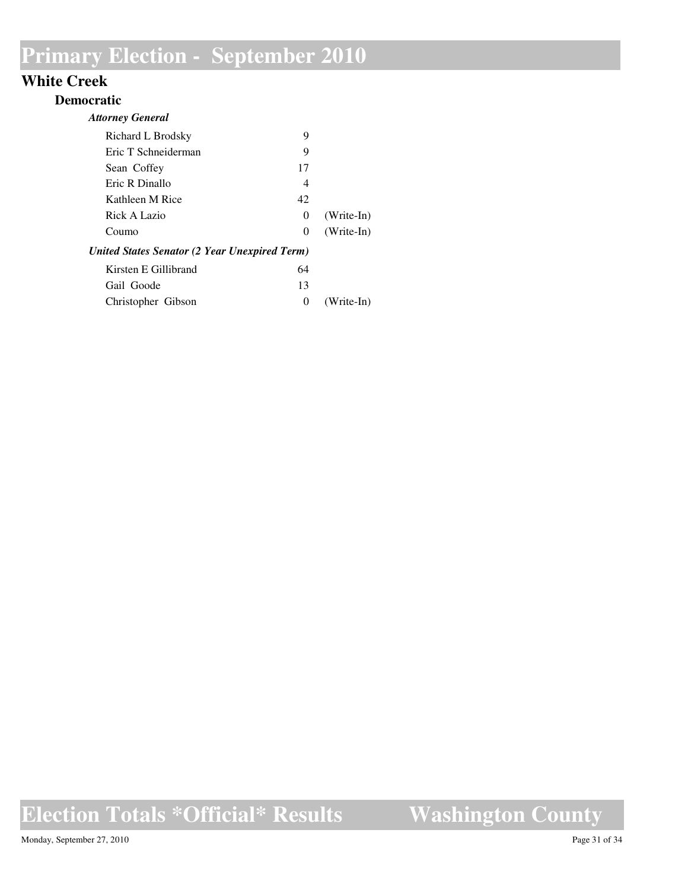### **White Creek**

#### **Democratic**

| Attorney General                              |          |              |
|-----------------------------------------------|----------|--------------|
| Richard L Brodsky                             | 9        |              |
| Eric T Schneiderman                           | 9        |              |
| Sean Coffey                                   | 17       |              |
| Eric R Dinallo                                | 4        |              |
| Kathleen M Rice                               | 42       |              |
| Rick A Lazio                                  | $\theta$ | $(Write-In)$ |
| Coumo                                         | $\theta$ | $(Write-In)$ |
| United States Senator (2 Year Unexpired Term) |          |              |
| Kirsten E Gillibrand                          | 64       |              |
| Gail Goode                                    | 13       |              |
| Christopher Gibson                            | $\theta$ | $(Write-In)$ |

# **Election Totals \*Official\* Results**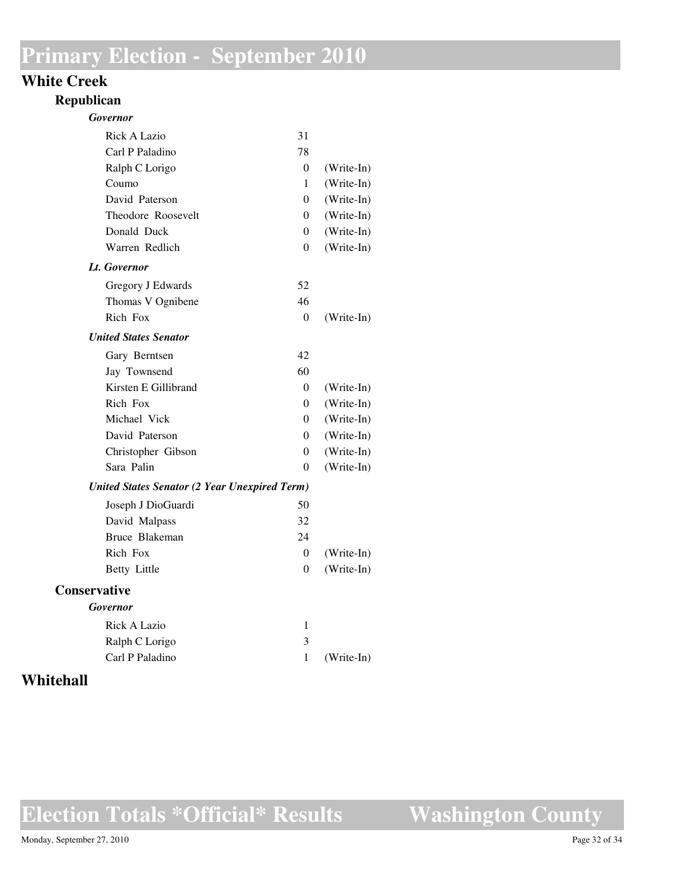### **White Creek**

#### **Republican**

| <b>Governor</b>                                      |          |            |
|------------------------------------------------------|----------|------------|
| <b>Rick A Lazio</b>                                  | 31       |            |
| Carl P Paladino                                      | 78       |            |
| Ralph C Lorigo                                       | 0        | (Write-In) |
| Coumo                                                | 1        | (Write-In) |
| David Paterson                                       | 0        | (Write-In) |
| Theodore Roosevelt                                   | 0        | (Write-In) |
| Donald Duck                                          | $\theta$ | (Write-In) |
| Warren Redlich                                       | $\Omega$ | (Write-In) |
| Lt. Governor                                         |          |            |
| Gregory J Edwards                                    | 52       |            |
| Thomas V Ognibene                                    | 46       |            |
| Rich Fox                                             | $\theta$ | (Write-In) |
| <b>United States Senator</b>                         |          |            |
| Gary Berntsen                                        | 42       |            |
| Jay Townsend                                         | 60       |            |
| Kirsten E Gillibrand                                 | $\theta$ | (Write-In) |
| Rich Fox                                             | 0        | (Write-In) |
| Michael Vick                                         | 0        | (Write-In) |
| David Paterson                                       | 0        | (Write-In) |
| Christopher Gibson                                   | 0        | (Write-In) |
| Sara Palin                                           | 0        | (Write-In) |
| <b>United States Senator (2 Year Unexpired Term)</b> |          |            |
| Joseph J DioGuardi                                   | 50       |            |
| David Malpass                                        | 32       |            |
| Bruce Blakeman                                       | 24       |            |
| Rich Fox                                             | $\theta$ | (Write-In) |
| <b>Betty Little</b>                                  | $\Omega$ | (Write-In) |
| <b>Conservative</b>                                  |          |            |
| Governor                                             |          |            |
| Rick A Lazio                                         | 1        |            |
| Ralph C Lorigo                                       | 3        |            |
| Carl P Paladino                                      | 1        | (Write-In) |

### **Whitehall**

**Election Totals \*Official\* Results**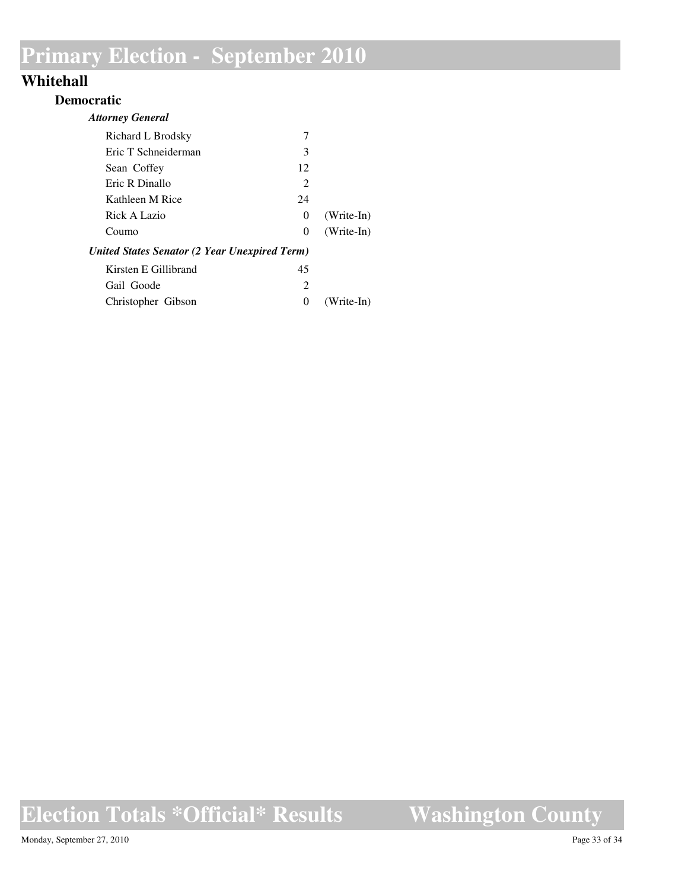### **Whitehall**

#### **Democratic**

| <b>Attorney General</b>                       |                             |              |
|-----------------------------------------------|-----------------------------|--------------|
| Richard L Brodsky                             | 7                           |              |
| Eric T Schneiderman                           | 3                           |              |
| Sean Coffey                                   | 12                          |              |
| Eric R Dinallo                                | $\mathcal{D}_{\mathcal{L}}$ |              |
| Kathleen M Rice                               | 24                          |              |
| Rick A Lazio                                  | $\theta$                    | $(Write-In)$ |
| Coumo                                         | $\theta$                    | $(Write-In)$ |
| United States Senator (2 Year Unexpired Term) |                             |              |
| Kirsten E Gillibrand                          | 45                          |              |
| Gail Goode                                    | 2                           |              |
| Christopher Gibson                            | $\theta$                    | Write-In)    |

## **Election Totals \*Official\* Results**